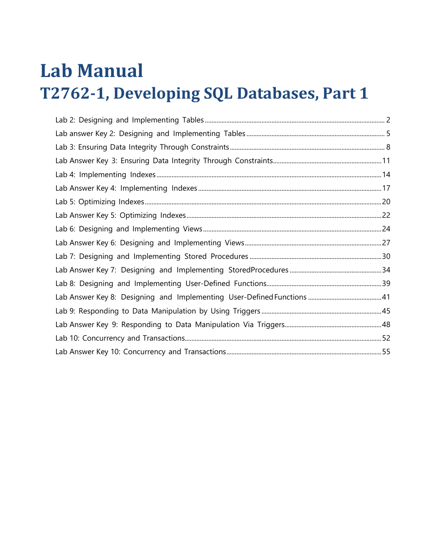# **Lab Manual T2762-1, Developing SQL Databases, Part 1**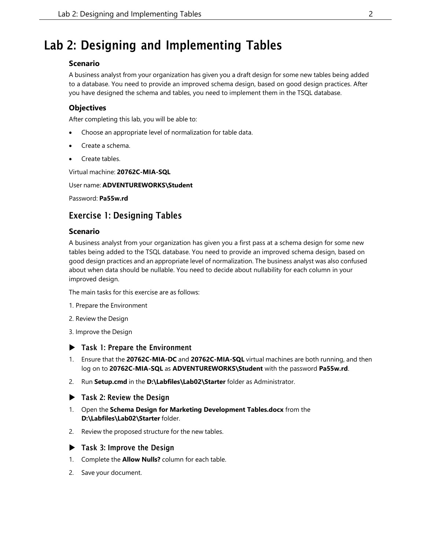## <span id="page-1-0"></span>Lab 2: Designing and Implementing Tables

#### **Scenario**

A business analyst from your organization has given you a draft design for some new tables being added to a database. You need to provide an improved schema design, based on good design practices. After you have designed the schema and tables, you need to implement them in the TSQL database.

#### **Objectives**

After completing this lab, you will be able to:

- Choose an appropriate level of normalization for table data.
- Create a schema.
- Create tables.

Virtual machine: **20762C-MIA-SQL**

#### User name: **ADVENTUREWORKS\Student**

Password: **Pa55w.rd**

## Exercise 1: Designing Tables

#### **Scenario**

A business analyst from your organization has given you a first pass at a schema design for some new tables being added to the TSQL database. You need to provide an improved schema design, based on good design practices and an appropriate level of normalization. The business analyst was also confused about when data should be nullable. You need to decide about nullability for each column in your improved design.

The main tasks for this exercise are as follows:

- 1. Prepare the Environment
- 2. Review the Design
- 3. Improve the Design
- ▶ Task 1: Prepare the Environment
- 1. Ensure that the **20762C-MIA-DC** and **20762C-MIA-SQL** virtual machines are both running, and then log on to **20762C-MIA-SQL** as **ADVENTUREWORKS\Student** with the password **Pa55w.rd**.
- 2. Run **Setup.cmd** in the **D:\Labfiles\Lab02\Starter** folder as Administrator.
- ▶ Task 2: Review the Design
- 1. Open the **Schema Design for Marketing Development Tables.docx** from the **D:\Labfiles\Lab02\Starter** folder.
- 2. Review the proposed structure for the new tables.
- **Task 3: Improve the Design**
- 1. Complete the **Allow Nulls?** column for each table.
- 2. Save your document.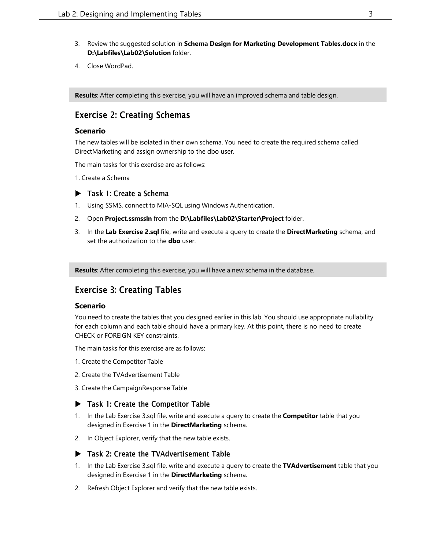- 3. Review the suggested solution in **Schema Design for Marketing Development Tables.docx** in the **D:\Labfiles\Lab02\Solution** folder.
- 4. Close WordPad.

**Results**: After completing this exercise, you will have an improved schema and table design.

## Exercise 2: Creating Schemas

#### **Scenario**

The new tables will be isolated in their own schema. You need to create the required schema called DirectMarketing and assign ownership to the dbo user.

The main tasks for this exercise are as follows:

1. Create a Schema

#### ▶ Task 1: Create a Schema

- 1. Using SSMS, connect to MIA-SQL using Windows Authentication.
- 2. Open **Project.ssmssln** from the **D:\Labfiles\Lab02\Starter\Project** folder.
- 3. In the **Lab Exercise 2.sql** file, write and execute a query to create the **DirectMarketing** schema, and set the authorization to the **dbo** user.

**Results**: After completing this exercise, you will have a new schema in the database.

## Exercise 3: Creating Tables

#### **Scenario**

You need to create the tables that you designed earlier in this lab. You should use appropriate nullability for each column and each table should have a primary key. At this point, there is no need to create CHECK or FOREIGN KEY constraints.

The main tasks for this exercise are as follows:

- 1. Create the Competitor Table
- 2. Create the TVAdvertisement Table
- 3. Create the CampaignResponse Table

#### ▶ Task 1: Create the Competitor Table

- 1. In the Lab Exercise 3.sql file, write and execute a query to create the **Competitor** table that you designed in Exercise 1 in the **DirectMarketing** schema.
- 2. In Object Explorer, verify that the new table exists.

#### ▶ Task 2: Create the TVAdvertisement Table

- 1. In the Lab Exercise 3.sql file, write and execute a query to create the **TVAdvertisement** table that you designed in Exercise 1 in the **DirectMarketing** schema.
- 2. Refresh Object Explorer and verify that the new table exists.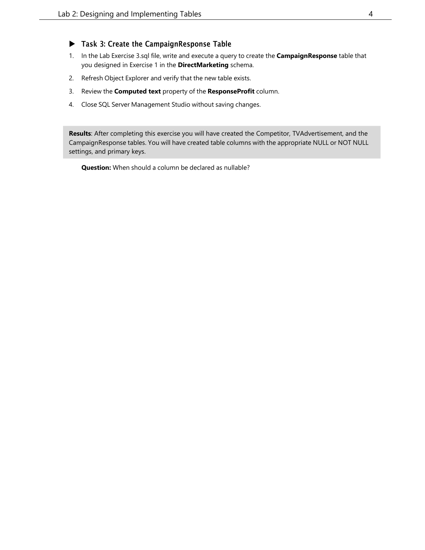#### Task 3: Create the CampaignResponse Table

- 1. In the Lab Exercise 3.sql file, write and execute a query to create the **CampaignResponse** table that you designed in Exercise 1 in the **DirectMarketing** schema.
- 2. Refresh Object Explorer and verify that the new table exists.
- 3. Review the **Computed text** property of the **ResponseProfit** column.
- 4. Close SQL Server Management Studio without saving changes.

**Results**: After completing this exercise you will have created the Competitor, TVAdvertisement, and the CampaignResponse tables. You will have created table columns with the appropriate NULL or NOT NULL settings, and primary keys.

**Question:** When should a column be declared as nullable?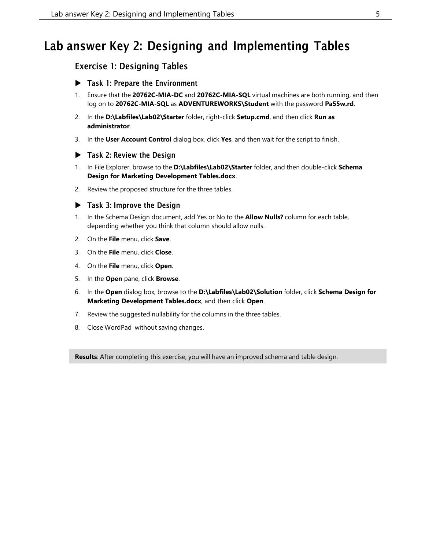## <span id="page-4-0"></span>Lab answer Key 2: Designing and Implementing Tables

## Exercise 1: Designing Tables

- ▶ Task 1: Prepare the Environment
- 1. Ensure that the **20762C-MIA-DC** and **20762C-MIA-SQL** virtual machines are both running, and then log on to **20762C-MIA-SQL** as **ADVENTUREWORKS\Student** with the password **Pa55w.rd**.
- 2. In the **D:\Labfiles\Lab02\Starter** folder, right-click **Setup.cmd**, and then click **Run as administrator**.
- 3. In the **User Account Control** dialog box, click **Yes**, and then wait for the script to finish.

#### ▶ Task 2: Review the Design

- 1. In File Explorer, browse to the **D:\Labfiles\Lab02\Starter** folder, and then double-click **Schema Design for Marketing Development Tables.docx**.
- 2. Review the proposed structure for the three tables.

#### $\blacktriangleright$  Task 3: Improve the Design

- 1. In the Schema Design document, add Yes or No to the **Allow Nulls?** column for each table, depending whether you think that column should allow nulls.
- 2. On the **File** menu, click **Save**.
- 3. On the **File** menu, click **Close**.
- 4. On the **File** menu, click **Open**.
- 5. In the **Open** pane, click **Browse**.
- 6. In the **Open** dialog box, browse to the **D:\Labfiles\Lab02\Solution** folder, click **Schema Design for Marketing Development Tables.docx**, and then click **Open**.
- 7. Review the suggested nullability for the columns in the three tables.
- 8. Close WordPad without saving changes.

**Results**: After completing this exercise, you will have an improved schema and table design.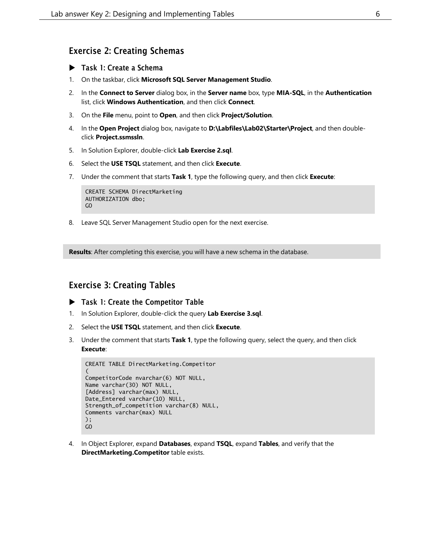### Exercise 2: Creating Schemas

- ▶ Task 1: Create a Schema
- 1. On the taskbar, click **Microsoft SQL Server Management Studio**.
- 2. In the **Connect to Server** dialog box, in the **Server name** box, type **MIA-SQL**, in the **Authentication** list, click **Windows Authentication**, and then click **Connect**.
- 3. On the **File** menu, point to **Open**, and then click **Project/Solution**.
- 4. In the **Open Project** dialog box, navigate to **D:\Labfiles\Lab02\Starter\Project**, and then doubleclick **Project.ssmssln**.
- 5. In Solution Explorer, double-click **Lab Exercise 2.sql**.
- 6. Select the **USE TSQL** statement, and then click **Execute**.
- 7. Under the comment that starts **Task 1**, type the following query, and then click **Execute**:

```
CREATE SCHEMA DirectMarketing
AUTHORIZATION dbo;
GO
```
8. Leave SQL Server Management Studio open for the next exercise.

**Results**: After completing this exercise, you will have a new schema in the database.

#### Exercise 3: Creating Tables

- ▶ Task 1: Create the Competitor Table
- 1. In Solution Explorer, double-click the query **Lab Exercise 3.sql**.
- 2. Select the **USE TSQL** statement, and then click **Execute**.
- 3. Under the comment that starts **Task 1**, type the following query, select the query, and then click **Execute**:

```
CREATE TABLE DirectMarketing.Competitor
(
CompetitorCode nvarchar(6) NOT NULL,
Name varchar(30) NOT NULL,
[Address] varchar(max) NULL
Date_Entered varchar(10) NULL,
Strength_of_competition varchar(8) NULL,
Comments varchar(max) NULL
);
GO
```
4. In Object Explorer, expand **Databases**, expand **TSQL**, expand **Tables**, and verify that the **DirectMarketing.Competitor** table exists.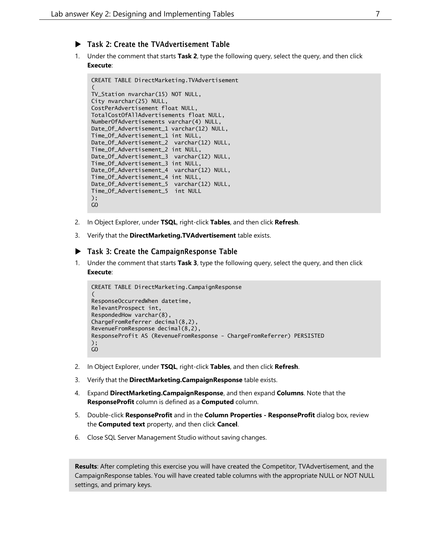- Task 2: Create the TVAdvertisement Table
- 1. Under the comment that starts **Task 2**, type the following query, select the query, and then click **Execute**:

```
CREATE TABLE DirectMarketing.TVAdvertisement
(
TV_Station nvarchar(15) NOT NULL,
City nvarchar(25) NULL,
CostPerAdvertisement float NULL,
TotalCostOfAllAdvertisements float NULL,
NumberOfAdvertisements varchar(4) NULL,
Date_Of_Advertisement_1 varchar(12) NULL,
Time_Of_Advertisement_1 int NULL,
Date_Of_Advertisement_2 varchar(12) NULL,
Time_Of_Advertisement_2 int NULL,
Date_Of_Advertisement_3 varchar(12) NULL,
Time_Of_Advertisement_3 int NULL,
Date_Of_Advertisement_4 varchar(12) NULL,
Time_Of_Advertisement_4 int NULL,
Date_Of_Advertisement_5 varchar(12) NULL,
Time_Of_Advertisement_5 int NULL
);
GO
```
- 2. In Object Explorer, under **TSQL**, right-click **Tables**, and then click **Refresh**.
- 3. Verify that the **DirectMarketing.TVAdvertisement** table exists.

#### Task 3: Create the CampaignResponse Table

1. Under the comment that starts **Task 3**, type the following query, select the query, and then click **Execute**:

```
CREATE TABLE DirectMarketing.CampaignResponse
(
ResponseOccurredWhen datetime,
RelevantProspect int,
RespondedHow varchar(8),
ChargeFromReferrer decimal(8,2),
RevenueFromResponse decimal(8,2),
ResponseProfit AS (RevenueFromResponse - ChargeFromReferrer) PERSISTED
);
GO
```
- 2. In Object Explorer, under **TSQL**, right-click **Tables**, and then click **Refresh**.
- 3. Verify that the **DirectMarketing.CampaignResponse** table exists.
- 4. Expand **DirectMarketing.CampaignResponse**, and then expand **Columns**. Note that the **ResponseProfit** column is defined as a **Computed** column.
- 5. Double-click **ResponseProfit** and in the **Column Properties - ResponseProfit** dialog box, review the **Computed text** property, and then click **Cancel**.
- 6. Close SQL Server Management Studio without saving changes.

**Results**: After completing this exercise you will have created the Competitor, TVAdvertisement, and the CampaignResponse tables. You will have created table columns with the appropriate NULL or NOT NULL settings, and primary keys.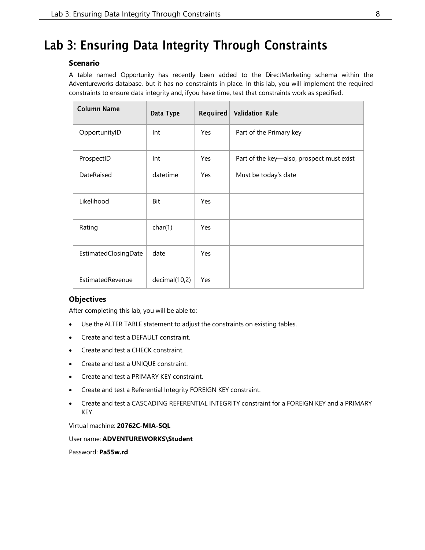## <span id="page-7-0"></span>Lab 3: Ensuring Data Integrity Through Constraints

#### **Scenario**

A table named Opportunity has recently been added to the DirectMarketing schema within the Adventureworks database, but it has no constraints in place. In this lab, you will implement the required constraints to ensure data integrity and, ifyou have time, test that constraints work as specified.

| <b>Column Name</b>   | Data Type     | Required   | <b>Validation Rule</b>                    |
|----------------------|---------------|------------|-------------------------------------------|
| OpportunityID        | Int           | Yes        | Part of the Primary key                   |
| ProspectID           | Int           | Yes        | Part of the key-also, prospect must exist |
| DateRaised           | datetime      | Yes        | Must be today's date                      |
| Likelihood           | Bit           | <b>Yes</b> |                                           |
| Rating               | char(1)       | Yes        |                                           |
| EstimatedClosingDate | date          | Yes        |                                           |
| EstimatedRevenue     | decimal(10,2) | Yes        |                                           |

#### **Objectives**

After completing this lab, you will be able to:

- Use the ALTER TABLE statement to adjust the constraints on existing tables.
- Create and test a DEFAULT constraint.
- Create and test a CHECK constraint.
- Create and test a UNIQUE constraint.
- Create and test a PRIMARY KEY constraint.
- Create and test a Referential Integrity FOREIGN KEY constraint.
- Create and test a CASCADING REFERENTIAL INTEGRITY constraint for a FOREIGN KEY and a PRIMARY KEY.

Virtual machine: **20762C-MIA-SQL**

User name: **ADVENTUREWORKS\Student**

Password: **Pa55w.rd**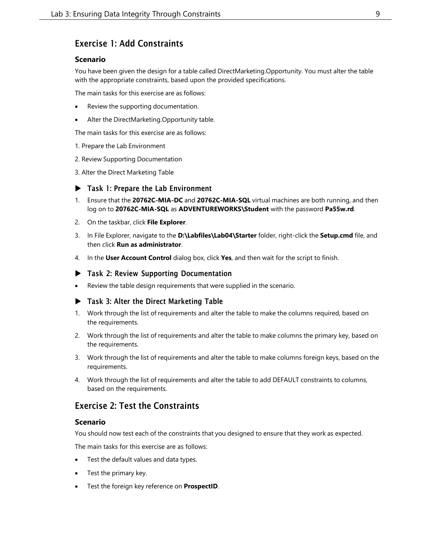## Exercise 1: Add Constraints

#### **Scenario**

You have been given the design for a table called DirectMarketing.Opportunity. You must alter the table with the appropriate constraints, based upon the provided specifications.

The main tasks for this exercise are as follows:

- Review the supporting documentation.
- Alter the DirectMarketing.Opportunity table.

The main tasks for this exercise are as follows:

- 1. Prepare the Lab Environment
- 2. Review Supporting Documentation
- 3. Alter the Direct Marketing Table

#### ▶ Task 1: Prepare the Lab Environment

- 1. Ensure that the **20762C-MIA-DC** and **20762C-MIA-SQL** virtual machines are both running, and then log on to **20762C-MIA-SQL** as **ADVENTUREWORKS\Student** with the password **Pa55w.rd**.
- 2. On the taskbar, click **File Explorer**.
- 3. In File Explorer, navigate to the **D:\Labfiles\Lab04\Starter** folder, right-click the **Setup.cmd** file, and then click **Run as administrator**.
- 4. In the **User Account Control** dialog box, click **Yes**, and then wait for the script to finish.

#### Task 2: Review Supporting Documentation

• Review the table design requirements that were supplied in the scenario.

#### ▶ Task 3: Alter the Direct Marketing Table

- 1. Work through the list of requirements and alter the table to make the columns required, based on the requirements.
- 2. Work through the list of requirements and alter the table to make columns the primary key, based on the requirements.
- 3. Work through the list of requirements and alter the table to make columns foreign keys, based on the requirements.
- 4. Work through the list of requirements and alter the table to add DEFAULT constraints to columns, based on the requirements.

## Exercise 2: Test the Constraints

#### **Scenario**

You should now test each of the constraints that you designed to ensure that they work as expected.

The main tasks for this exercise are as follows:

- Test the default values and data types.
- Test the primary key.
- Test the foreign key reference on **ProspectID**.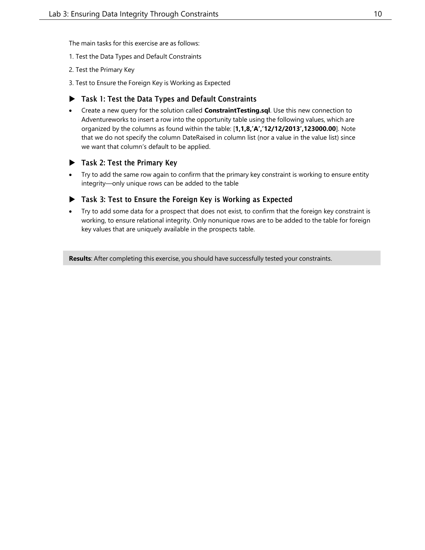The main tasks for this exercise are as follows:

- 1. Test the Data Types and Default Constraints
- 2. Test the Primary Key
- 3. Test to Ensure the Foreign Key is Working as Expected

#### Task 1: Test the Data Types and Default Constraints

• Create a new query for the solution called **ConstraintTesting.sql**. Use this new connection to Adventureworks to insert a row into the opportunity table using the following values, which are organized by the columns as found within the table: [**1,1,8,'A','12/12/2013',123000.00**]. Note that we do not specify the column DateRaised in column list (nor a value in the value list) since we want that column's default to be applied.

#### ▶ Task 2: Test the Primary Key

• Try to add the same row again to confirm that the primary key constraint is working to ensure entity integrity—only unique rows can be added to the table

#### ▶ Task 3: Test to Ensure the Foreign Key is Working as Expected

• Try to add some data for a prospect that does not exist, to confirm that the foreign key constraint is working, to ensure relational integrity. Only nonunique rows are to be added to the table for foreign key values that are uniquely available in the prospects table.

**Results**: After completing this exercise, you should have successfully tested your constraints.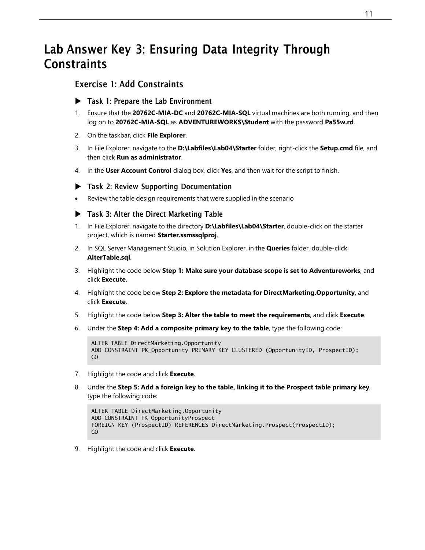## <span id="page-10-0"></span>Lab Answer Key 3: Ensuring Data Integrity Through **Constraints**

## Exercise 1: Add Constraints

- Task 1: Prepare the Lab Environment
- 1. Ensure that the **20762C-MIA-DC** and **20762C-MIA-SQL** virtual machines are both running, and then log on to **20762C-MIA-SQL** as **ADVENTUREWORKS\Student** with the password **Pa55w.rd**.
- 2. On the taskbar, click **File Explorer**.
- 3. In File Explorer, navigate to the **D:\Labfiles\Lab04\Starter** folder, right-click the **Setup.cmd** file, and then click **Run as administrator**.
- 4. In the **User Account Control** dialog box, click **Yes**, and then wait for the script to finish.

#### Task 2: Review Supporting Documentation

• Review the table design requirements that were supplied in the scenario

#### Task 3: Alter the Direct Marketing Table

- 1. In File Explorer, navigate to the directory **D:\Labfiles\Lab04\Starter**, double-click on the starter project, which is named **Starter.ssmssqlproj**.
- 2. In SQL Server Management Studio, in Solution Explorer, in the **Queries** folder, double-click **AlterTable.sql**.
- 3. Highlight the code below **Step 1: Make sure your database scope is set to Adventureworks**, and click **Execute**.
- 4. Highlight the code below **Step 2: Explore the metadata for DirectMarketing.Opportunity**, and click **Execute**.
- 5. Highlight the code below **Step 3: Alter the table to meet the requirements**, and click **Execute**.
- 6. Under the **Step 4: Add a composite primary key to the table**, type the following code:

```
ALTER TABLE DirectMarketing.Opportunity
ADD CONSTRAINT PK_Opportunity PRIMARY KEY CLUSTERED (OpportunityID, ProspectID);
GO
```
- 7. Highlight the code and click **Execute**.
- 8. Under the **Step 5: Add a foreign key to the table, linking it to the Prospect table primary key**, type the following code:

```
ALTER TABLE DirectMarketing.Opportunity
ADD CONSTRAINT FK_OpportunityProspect
FOREIGN KEY (ProspectID) REFERENCES DirectMarketing.Prospect(ProspectID);
GO
```
9. Highlight the code and click **Execute**.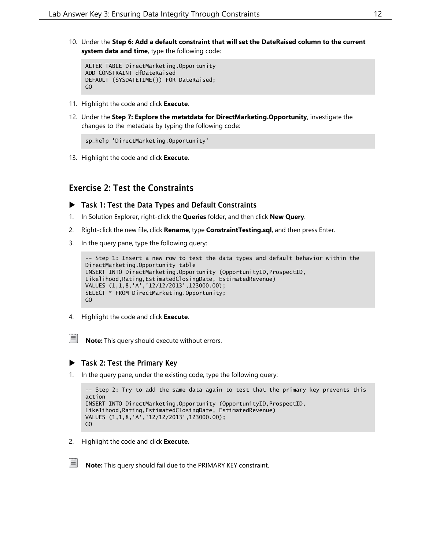10. Under the **Step 6: Add a default constraint that will set the DateRaised column to the current system data and time**, type the following code:

```
ALTER TABLE DirectMarketing.Opportunity
ADD CONSTRAINT dfDateRaised
DEFAULT (SYSDATETIME()) FOR DateRaised;
GO
```
- 11. Highlight the code and click **Execute**.
- 12. Under the **Step 7: Explore the metatdata for DirectMarketing.Opportunity**, investigate the changes to the metadata by typing the following code:

```
sp_help 'DirectMarketing.Opportunity'
```
13. Highlight the code and click **Execute**.

### Exercise 2: Test the Constraints

- Task 1: Test the Data Types and Default Constraints
- 1. In Solution Explorer, right-click the **Queries** folder, and then click **New Query**.
- 2. Right-click the new file, click **Rename**, type **ConstraintTesting.sql**, and then press Enter.
- 3. In the query pane, type the following query:

```
-- Step 1: Insert a new row to test the data types and default behavior within the
DirectMarketing.Opportunity table
INSERT INTO DirectMarketing.Opportunity (OpportunityID,ProspectID,
Likelihood,Rating,EstimatedClosingDate, EstimatedRevenue)
VALUES (1,1,8,'A','12/12/2013',123000.00);
SELECT * FROM DirectMarketing.Opportunity;
GO
```
4. Highlight the code and click **Execute**.

**Note:** This query should execute without errors.

#### $\blacktriangleright$  Task 2: Test the Primary Key

1. In the query pane, under the existing code, type the following query:

```
-- Step 2: Try to add the same data again to test that the primary key prevents this
action
INSERT INTO DirectMarketing.Opportunity (OpportunityID,ProspectID,
Likelihood,Rating,EstimatedClosingDate, EstimatedRevenue)
VALUES (1,1,8,'A','12/12/2013',123000.00);
GO
```
2. Highlight the code and click **Execute**.

**Note:** This query should fail due to the PRIMARY KEY constraint.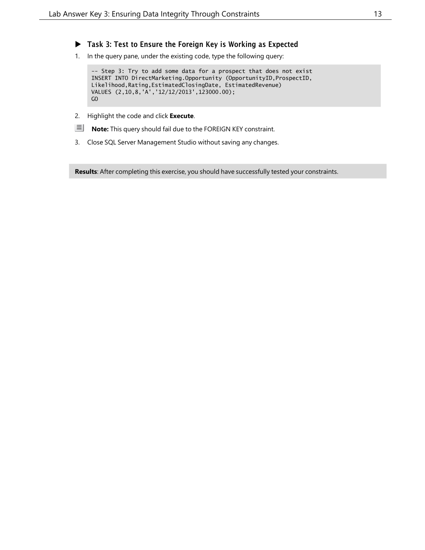- ▶ Task 3: Test to Ensure the Foreign Key is Working as Expected
- 1. In the query pane, under the existing code, type the following query:

-- Step 3: Try to add some data for a prospect that does not exist INSERT INTO DirectMarketing.Opportunity (OpportunityID,ProspectID, Likelihood,Rating,EstimatedClosingDate, EstimatedRevenue) VALUES (2,10,8,'A','12/12/2013',123000.00); GO

- 2. Highlight the code and click **Execute**.
- **Note:** This query should fail due to the FOREIGN KEY constraint.
- 3. Close SQL Server Management Studio without saving any changes.

**Results**: After completing this exercise, you should have successfully tested your constraints.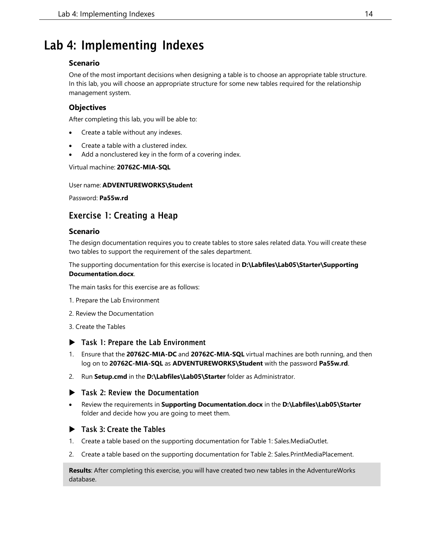## <span id="page-13-0"></span>Lab 4: Implementing Indexes

#### **Scenario**

One of the most important decisions when designing a table is to choose an appropriate table structure. In this lab, you will choose an appropriate structure for some new tables required for the relationship management system.

### **Objectives**

After completing this lab, you will be able to:

- Create a table without any indexes.
- Create a table with a clustered index.
- Add a nonclustered key in the form of a covering index.

#### Virtual machine: **20762C-MIA-SQL**

#### User name: **ADVENTUREWORKS\Student**

Password: **Pa55w.rd**

## Exercise 1: Creating a Heap

#### **Scenario**

The design documentation requires you to create tables to store sales related data. You will create these two tables to support the requirement of the sales department.

The supporting documentation for this exercise is located in **D:\Labfiles\Lab05\Starter\Supporting Documentation.docx**.

The main tasks for this exercise are as follows:

- 1. Prepare the Lab Environment
- 2. Review the Documentation
- 3. Create the Tables
- ▶ Task 1: Prepare the Lab Environment
- 1. Ensure that the **20762C-MIA-DC** and **20762C-MIA-SQL** virtual machines are both running, and then log on to **20762C-MIA-SQL** as **ADVENTUREWORKS\Student** with the password **Pa55w.rd**.
- 2. Run **Setup.cmd** in the **D:\Labfiles\Lab05\Starter** folder as Administrator.
- ▶ Task 2: Review the Documentation
- Review the requirements in **Supporting Documentation.docx** in the **D:\Labfiles\Lab05\Starter** folder and decide how you are going to meet them.

#### ▶ Task 3: Create the Tables

- 1. Create a table based on the supporting documentation for Table 1: Sales.MediaOutlet.
- 2. Create a table based on the supporting documentation for Table 2: Sales.PrintMediaPlacement.

**Results**: After completing this exercise, you will have created two new tables in the AdventureWorks database.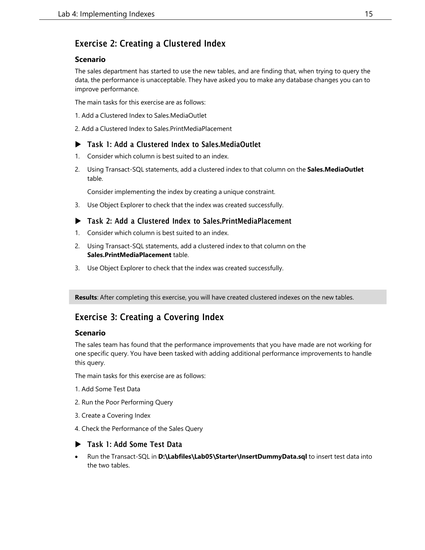## Exercise 2: Creating a Clustered Index

#### **Scenario**

The sales department has started to use the new tables, and are finding that, when trying to query the data, the performance is unacceptable. They have asked you to make any database changes you can to improve performance.

The main tasks for this exercise are as follows:

- 1. Add a Clustered Index to Sales.MediaOutlet
- 2. Add a Clustered Index to Sales.PrintMediaPlacement

#### ▶ Task 1: Add a Clustered Index to Sales.MediaOutlet

- 1. Consider which column is best suited to an index.
- 2. Using Transact-SQL statements, add a clustered index to that column on the **Sales.MediaOutlet** table.

Consider implementing the index by creating a unique constraint.

3. Use Object Explorer to check that the index was created successfully.

#### Task 2: Add a Clustered Index to Sales.PrintMediaPlacement

- 1. Consider which column is best suited to an index.
- 2. Using Transact-SQL statements, add a clustered index to that column on the **Sales.PrintMediaPlacement** table.
- 3. Use Object Explorer to check that the index was created successfully.

**Results**: After completing this exercise, you will have created clustered indexes on the new tables.

## Exercise 3: Creating a Covering Index

#### **Scenario**

The sales team has found that the performance improvements that you have made are not working for one specific query. You have been tasked with adding additional performance improvements to handle this query.

The main tasks for this exercise are as follows:

- 1. Add Some Test Data
- 2. Run the Poor Performing Query
- 3. Create a Covering Index
- 4. Check the Performance of the Sales Query

#### Task 1: Add Some Test Data

• Run the Transact-SQL in **D:\Labfiles\Lab05\Starter\InsertDummyData.sql** to insert test data into the two tables.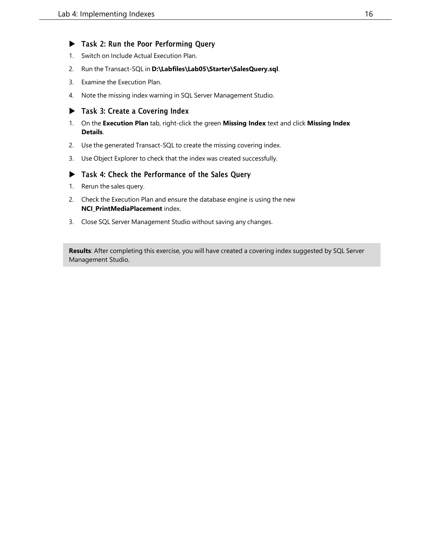#### ▶ Task 2: Run the Poor Performing Query

- 1. Switch on Include Actual Execution Plan.
- 2. Run the Transact-SQL in **D:\Labfiles\Lab05\Starter\SalesQuery.sql**.
- 3. Examine the Execution Plan.
- 4. Note the missing index warning in SQL Server Management Studio.

#### Task 3: Create a Covering Index

- 1. On the **Execution Plan** tab, right-click the green **Missing Index** text and click **Missing Index Details**.
- 2. Use the generated Transact-SQL to create the missing covering index.
- 3. Use Object Explorer to check that the index was created successfully.

#### Task 4: Check the Performance of the Sales Query

- 1. Rerun the sales query.
- 2. Check the Execution Plan and ensure the database engine is using the new **NCI\_PrintMediaPlacement** index.
- 3. Close SQL Server Management Studio without saving any changes.

**Results**: After completing this exercise, you will have created a covering index suggested by SQL Server Management Studio.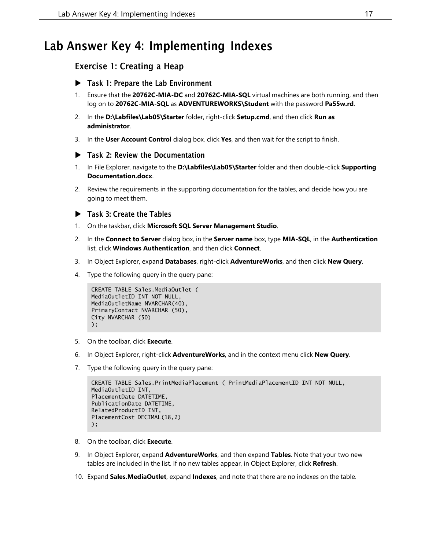## <span id="page-16-0"></span>Lab Answer Key 4: Implementing Indexes

### Exercise 1: Creating a Heap

- Task 1: Prepare the Lab Environment
- 1. Ensure that the **20762C-MIA-DC** and **20762C-MIA-SQL** virtual machines are both running, and then log on to **20762C-MIA-SQL** as **ADVENTUREWORKS\Student** with the password **Pa55w.rd**.
- 2. In the **D:\Labfiles\Lab05\Starter** folder, right-click **Setup.cmd**, and then click **Run as administrator**.
- 3. In the **User Account Control** dialog box, click **Yes**, and then wait for the script to finish.

#### Task 2: Review the Documentation

- 1. In File Explorer, navigate to the **D:\Labfiles\Lab05\Starter** folder and then double-click **Supporting Documentation.docx**.
- 2. Review the requirements in the supporting documentation for the tables, and decide how you are going to meet them.

#### ▶ Task 3: Create the Tables

- 1. On the taskbar, click **Microsoft SQL Server Management Studio**.
- 2. In the **Connect to Server** dialog box, in the **Server name** box, type **MIA-SQL**, in the **Authentication** list, click **Windows Authentication**, and then click **Connect**.
- 3. In Object Explorer, expand **Databases**, right-click **AdventureWorks**, and then click **New Query**.
- 4. Type the following query in the query pane:

```
CREATE TABLE Sales.MediaOutlet (
MediaOutletID INT NOT NULL,
MediaOutletName NVARCHAR(40),
PrimaryContact NVARCHAR (50),
City NVARCHAR (50)
);
```
- 5. On the toolbar, click **Execute**.
- 6. In Object Explorer, right-click **AdventureWorks**, and in the context menu click **New Query**.
- 7. Type the following query in the query pane:

```
CREATE TABLE Sales.PrintMediaPlacement ( PrintMediaPlacementID INT NOT NULL,
MediaOutletID INT,
PlacementDate DATETIME,
PublicationDate DATETIME,
RelatedProductID INT,
PlacementCost DECIMAL(18,2)
);
```
- 8. On the toolbar, click **Execute**.
- 9. In Object Explorer, expand **AdventureWorks**, and then expand **Tables**. Note that your two new tables are included in the list. If no new tables appear, in Object Explorer, click **Refresh**.
- 10. Expand **Sales.MediaOutlet**, expand **Indexes**, and note that there are no indexes on the table.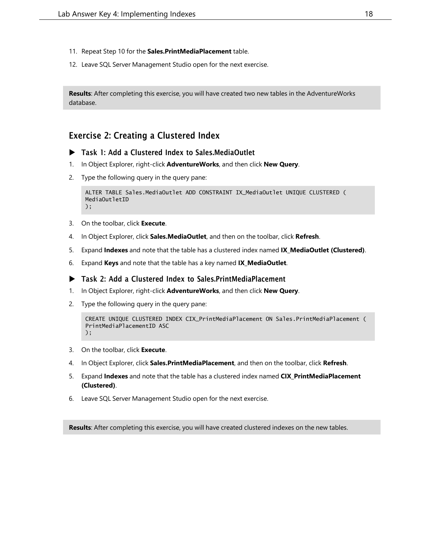- 11. Repeat Step 10 for the **Sales.PrintMediaPlacement** table.
- 12. Leave SQL Server Management Studio open for the next exercise.

**Results**: After completing this exercise, you will have created two new tables in the AdventureWorks database.

## Exercise 2: Creating a Clustered Index

- ▶ Task 1: Add a Clustered Index to Sales.MediaOutlet
- 1. In Object Explorer, right-click **AdventureWorks**, and then click **New Query**.
- 2. Type the following query in the query pane:

```
ALTER TABLE Sales.MediaOutlet ADD CONSTRAINT IX_MediaOutlet UNIQUE CLUSTERED (
MediaOutletID
);
```
- 3. On the toolbar, click **Execute**.
- 4. In Object Explorer, click **Sales.MediaOutlet**, and then on the toolbar, click **Refresh**.
- 5. Expand **Indexes** and note that the table has a clustered index named **IX\_MediaOutlet (Clustered)**.
- 6. Expand **Keys** and note that the table has a key named **IX\_MediaOutlet**.

```
 Task 2: Add a Clustered Index to Sales.PrintMediaPlacement
```
- 1. In Object Explorer, right-click **AdventureWorks**, and then click **New Query**.
- 2. Type the following query in the query pane:

```
CREATE UNIQUE CLUSTERED INDEX CIX_PrintMediaPlacement ON Sales.PrintMediaPlacement (
PrintMediaPlacementID ASC
);
```
- 3. On the toolbar, click **Execute**.
- 4. In Object Explorer, click **Sales.PrintMediaPlacement**, and then on the toolbar, click **Refresh**.
- 5. Expand **Indexes** and note that the table has a clustered index named **CIX\_PrintMediaPlacement (Clustered)**.
- 6. Leave SQL Server Management Studio open for the next exercise.

**Results**: After completing this exercise, you will have created clustered indexes on the new tables.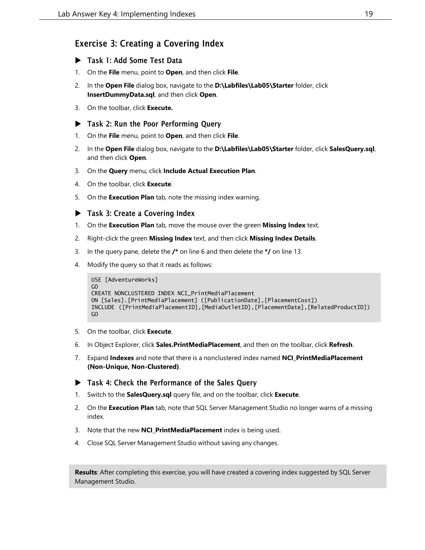## Exercise 3: Creating a Covering Index

- Task 1: Add Some Test Data
- 1. On the **File** menu, point to **Open**, and then click **File**.
- 2. In the **Open File** dialog box, navigate to the **D:\Labfiles\Lab05\Starter** folder, click **InsertDummyData.sql**, and then click **Open**.
- 3. On the toolbar, click **Execute.**

#### ▶ Task 2: Run the Poor Performing Query

- 1. On the **File** menu, point to **Open**, and then click **File**.
- 2. In the **Open File** dialog box, navigate to the **D:\Labfiles\Lab05\Starter** folder, click **SalesQuery.sql**, and then click **Open**.
- 3. On the **Query** menu, click **Include Actual Execution Plan**.
- 4. On the toolbar, click **Execute**.
- 5. On the **Execution Plan** tab, note the missing index warning.

#### Task 3: Create a Covering Index

- 1. On the **Execution Plan** tab, move the mouse over the green **Missing Index** text.
- 2. Right-click the green **Missing Index** text, and then click **Missing Index Details**.
- 3. In the query pane, delete the **/\*** on line 6 and then delete the **\*/** on line 13.
- 4. Modify the query so that it reads as follows:

```
USE [AdventureWorks]
GO
CREATE NONCLUSTERED INDEX NCI_PrintMediaPlacement
ON [Sales].[PrintMediaPlacement] ([PublicationDate],[PlacementCost])
INCLUDE ([PrintMediaPlacementID],[MediaOutletID],[PlacementDate],[RelatedProductID])
GO
```
- 5. On the toolbar, click **Execute**.
- 6. In Object Explorer, click **Sales.PrintMediaPlacement**, and then on the toolbar, click **Refresh**.
- 7. Expand **Indexes** and note that there is a nonclustered index named **NCI\_PrintMediaPlacement (Non-Unique, Non-Clustered)**.
- $\blacktriangleright$  Task 4: Check the Performance of the Sales Query
- 1. Switch to the **SalesQuery.sql** query file, and on the toolbar, click **Execute**.
- 2. On the **Execution Plan** tab, note that SQL Server Management Studio no longer warns of a missing index.
- 3. Note that the new **NCI\_PrintMediaPlacement** index is being used.
- 4. Close SQL Server Management Studio without saving any changes.

**Results**: After completing this exercise, you will have created a covering index suggested by SQL Server Management Studio.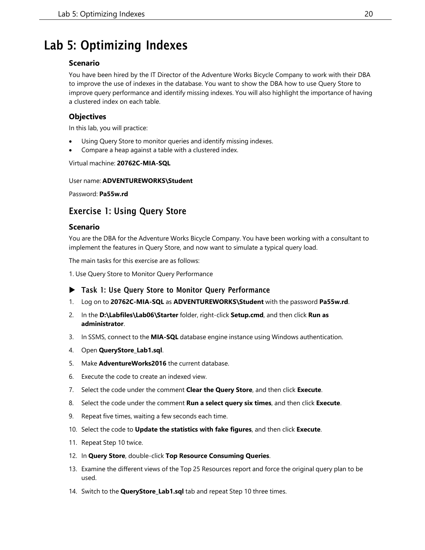## <span id="page-19-0"></span>Lab 5: Optimizing Indexes

#### **Scenario**

You have been hired by the IT Director of the Adventure Works Bicycle Company to work with their DBA to improve the use of indexes in the database. You want to show the DBA how to use Query Store to improve query performance and identify missing indexes. You will also highlight the importance of having a clustered index on each table.

#### **Objectives**

In this lab, you will practice:

- Using Query Store to monitor queries and identify missing indexes.
- Compare a heap against a table with a clustered index.

Virtual machine: **20762C-MIA-SQL**

#### User name: **ADVENTUREWORKS\Student**

Password: **Pa55w.rd**

## Exercise 1: Using Query Store

#### **Scenario**

You are the DBA for the Adventure Works Bicycle Company. You have been working with a consultant to implement the features in Query Store, and now want to simulate a typical query load.

The main tasks for this exercise are as follows:

1. Use Query Store to Monitor Query Performance

- ▶ Task 1: Use Query Store to Monitor Query Performance
- 1. Log on to **20762C-MIA-SQL** as **ADVENTUREWORKS\Student** with the password **Pa55w.rd**.
- 2. In the **D:\Labfiles\Lab06\Starter** folder, right-click **Setup.cmd**, and then click **Run as administrator**.
- 3. In SSMS, connect to the **MIA-SQL** database engine instance using Windows authentication.
- 4. Open **QueryStore\_Lab1.sql**.
- 5. Make **AdventureWorks2016** the current database.
- 6. Execute the code to create an indexed view.
- 7. Select the code under the comment **Clear the Query Store**, and then click **Execute**.
- 8. Select the code under the comment **Run a select query six times**, and then click **Execute**.
- 9. Repeat five times, waiting a few seconds each time.
- 10. Select the code to **Update the statistics with fake figures**, and then click **Execute**.
- 11. Repeat Step 10 twice.
- 12. In **Query Store**, double-click **Top Resource Consuming Queries**.
- 13. Examine the different views of the Top 25 Resources report and force the original query plan to be used.
- 14. Switch to the **QueryStore\_Lab1.sql** tab and repeat Step 10 three times.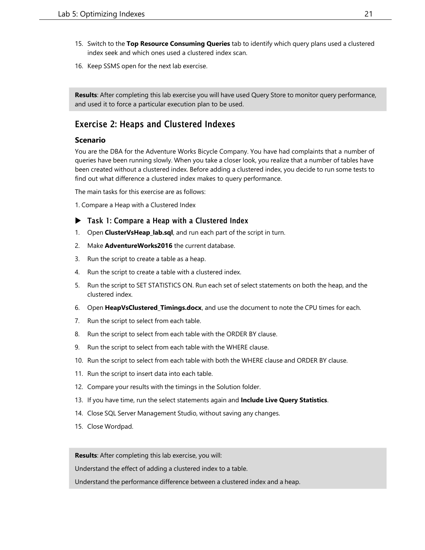- 15. Switch to the **Top Resource Consuming Queries** tab to identify which query plans used a clustered index seek and which ones used a clustered index scan.
- 16. Keep SSMS open for the next lab exercise.

**Results**: After completing this lab exercise you will have used Query Store to monitor query performance, and used it to force a particular execution plan to be used.

## Exercise 2: Heaps and Clustered Indexes

#### **Scenario**

You are the DBA for the Adventure Works Bicycle Company. You have had complaints that a number of queries have been running slowly. When you take a closer look, you realize that a number of tables have been created without a clustered index. Before adding a clustered index, you decide to run some tests to find out what difference a clustered index makes to query performance.

The main tasks for this exercise are as follows:

1. Compare a Heap with a Clustered Index

#### ▶ Task 1: Compare a Heap with a Clustered Index

- 1. Open **ClusterVsHeap\_lab.sql**, and run each part of the script in turn.
- 2. Make **AdventureWorks2016** the current database.
- 3. Run the script to create a table as a heap.
- 4. Run the script to create a table with a clustered index.
- 5. Run the script to SET STATISTICS ON. Run each set of select statements on both the heap, and the clustered index.
- 6. Open **HeapVsClustered\_Timings.docx**, and use the document to note the CPU times for each.
- 7. Run the script to select from each table.
- 8. Run the script to select from each table with the ORDER BY clause.
- 9. Run the script to select from each table with the WHERE clause.
- 10. Run the script to select from each table with both the WHERE clause and ORDER BY clause.
- 11. Run the script to insert data into each table.
- 12. Compare your results with the timings in the Solution folder.
- 13. If you have time, run the select statements again and **Include Live Query Statistics**.
- 14. Close SQL Server Management Studio, without saving any changes.
- 15. Close Wordpad.

**Results**: After completing this lab exercise, you will:

Understand the effect of adding a clustered index to a table.

Understand the performance difference between a clustered index and a heap.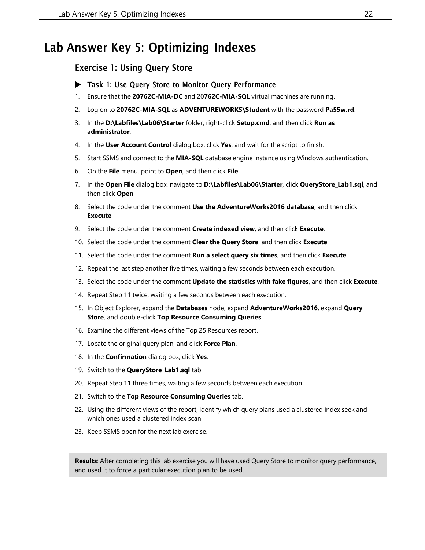## <span id="page-21-0"></span>Lab Answer Key 5: Optimizing Indexes

## Exercise 1: Using Query Store

- ▶ Task 1: Use Query Store to Monitor Query Performance
- 1. Ensure that the **20762C-MIA-DC** and 20**762C-MIA-SQL** virtual machines are running.
- 2. Log on to **20762C-MIA-SQL** as **ADVENTUREWORKS\Student** with the password **Pa55w.rd**.
- 3. In the **D:\Labfiles\Lab06\Starter** folder, right-click **Setup.cmd**, and then click **Run as administrator**.
- 4. In the **User Account Control** dialog box, click **Yes**, and wait for the script to finish.
- 5. Start SSMS and connect to the **MIA-SQL** database engine instance using Windows authentication.
- 6. On the **File** menu, point to **Open**, and then click **File**.
- 7. In the **Open File** dialog box, navigate to **D:\Labfiles\Lab06\Starter**, click **QueryStore\_Lab1.sql**, and then click **Open**.
- 8. Select the code under the comment **Use the AdventureWorks2016 database**, and then click **Execute**.
- 9. Select the code under the comment **Create indexed view**, and then click **Execute**.
- 10. Select the code under the comment **Clear the Query Store**, and then click **Execute**.
- 11. Select the code under the comment **Run a select query six times**, and then click **Execute**.
- 12. Repeat the last step another five times, waiting a few seconds between each execution.
- 13. Select the code under the comment **Update the statistics with fake figures**, and then click **Execute**.
- 14. Repeat Step 11 twice, waiting a few seconds between each execution.
- 15. In Object Explorer, expand the **Databases** node, expand **AdventureWorks2016**, expand **Query Store**, and double-click **Top Resource Consuming Queries**.
- 16. Examine the different views of the Top 25 Resources report.
- 17. Locate the original query plan, and click **Force Plan**.
- 18. In the **Confirmation** dialog box, click **Yes**.
- 19. Switch to the **QueryStore\_Lab1.sql** tab.
- 20. Repeat Step 11 three times, waiting a few seconds between each execution.
- 21. Switch to the **Top Resource Consuming Queries** tab.
- 22. Using the different views of the report, identify which query plans used a clustered index seek and which ones used a clustered index scan.
- 23. Keep SSMS open for the next lab exercise.

**Results**: After completing this lab exercise you will have used Query Store to monitor query performance, and used it to force a particular execution plan to be used.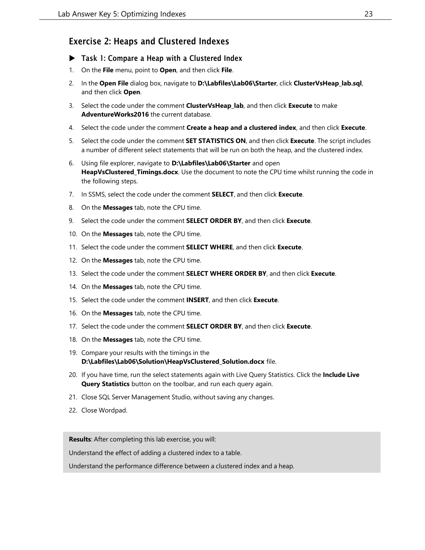## Exercise 2: Heaps and Clustered Indexes

- ▶ Task 1: Compare a Heap with a Clustered Index
- 1. On the **File** menu, point to **Open**, and then click **File**.
- 2. In the **Open File** dialog box, navigate to **D:\Labfiles\Lab06\Starter**, click **ClusterVsHeap\_lab.sql**, and then click **Open**.
- 3. Select the code under the comment **ClusterVsHeap\_lab**, and then click **Execute** to make **AdventureWorks2016** the current database.
- 4. Select the code under the comment **Create a heap and a clustered index**, and then click **Execute**.
- 5. Select the code under the comment **SET STATISTICS ON**, and then click **Execute**. The script includes a number of different select statements that will be run on both the heap, and the clustered index.
- 6. Using file explorer, navigate to **D:\Labfiles\Lab06\Starter** and open **HeapVsClustered\_Timings.docx**. Use the document to note the CPU time whilst running the code in the following steps.
- 7. In SSMS, select the code under the comment **SELECT**, and then click **Execute**.
- 8. On the **Messages** tab, note the CPU time.
- 9. Select the code under the comment **SELECT ORDER BY**, and then click **Execute**.
- 10. On the **Messages** tab, note the CPU time.
- 11. Select the code under the comment **SELECT WHERE**, and then click **Execute**.
- 12. On the **Messages** tab, note the CPU time.
- 13. Select the code under the comment **SELECT WHERE ORDER BY**, and then click **Execute**.
- 14. On the **Messages** tab, note the CPU time.
- 15. Select the code under the comment **INSERT**, and then click **Execute**.
- 16. On the **Messages** tab, note the CPU time.
- 17. Select the code under the comment **SELECT ORDER BY**, and then click **Execute**.
- 18. On the **Messages** tab, note the CPU time.
- 19. Compare your results with the timings in the **D:\Labfiles\Lab06\Solution\HeapVsClustered\_Solution.docx** file.
- 20. If you have time, run the select statements again with Live Query Statistics. Click the **Include Live Query Statistics** button on the toolbar, and run each query again.
- 21. Close SQL Server Management Studio, without saving any changes.
- 22. Close Wordpad.

**Results**: After completing this lab exercise, you will:

Understand the effect of adding a clustered index to a table.

Understand the performance difference between a clustered index and a heap.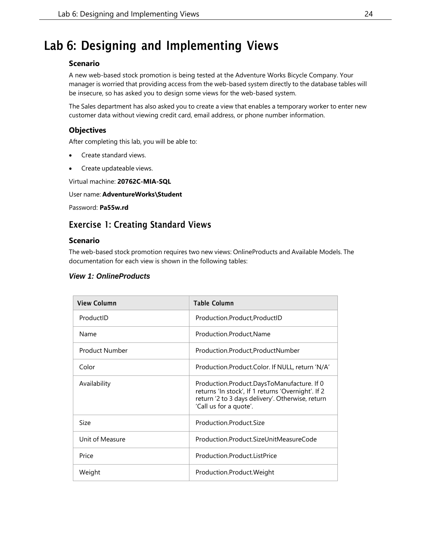## <span id="page-23-0"></span>Lab 6: Designing and Implementing Views

#### **Scenario**

A new web-based stock promotion is being tested at the Adventure Works Bicycle Company. Your manager is worried that providing access from the web-based system directly to the database tables will be insecure, so has asked you to design some views for the web-based system.

The Sales department has also asked you to create a view that enables a temporary worker to enter new customer data without viewing credit card, email address, or phone number information.

#### **Objectives**

After completing this lab, you will be able to:

- Create standard views.
- Create updateable views.

Virtual machine: **20762C-MIA-SQL**

#### User name: **AdventureWorks\Student**

Password: **Pa55w.rd**

## Exercise 1: Creating Standard Views

#### **Scenario**

The web-based stock promotion requires two new views: OnlineProducts and Available Models. The documentation for each view is shown in the following tables:

#### *View 1: OnlineProducts*

| <b>View Column</b>    | <b>Table Column</b>                                                                                                                                                            |
|-----------------------|--------------------------------------------------------------------------------------------------------------------------------------------------------------------------------|
| ProductID             | Production.Product,ProductID                                                                                                                                                   |
| Name                  | Production.Product, Name                                                                                                                                                       |
| <b>Product Number</b> | Production.Product,ProductNumber                                                                                                                                               |
| Color                 | Production.Product.Color. If NULL, return 'N/A'                                                                                                                                |
| Availability          | Production.Product.DaysToManufacture. If 0<br>returns 'In stock', If 1 returns 'Overnight'. If 2<br>return '2 to 3 days delivery'. Otherwise, return<br>'Call us for a quote'. |
| Size                  | Production.Product.Size                                                                                                                                                        |
| Unit of Measure       | Production.Product.SizeUnitMeasureCode                                                                                                                                         |
| Price                 | Production.Product.ListPrice                                                                                                                                                   |
| Weight                | Production.Product.Weight                                                                                                                                                      |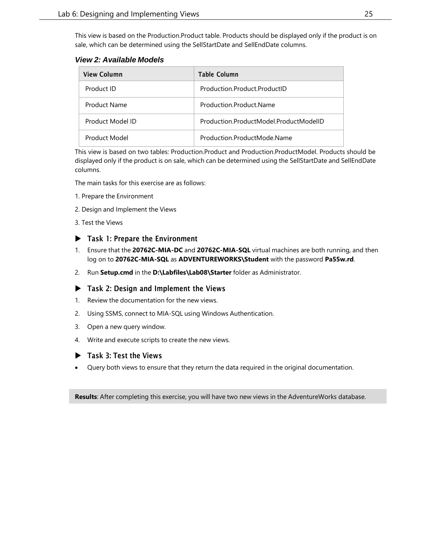This view is based on the Production.Product table. Products should be displayed only if the product is on sale, which can be determined using the SellStartDate and SellEndDate columns.

*View 2: Available Models*

| <b>View Column</b> | <b>Table Column</b>                    |
|--------------------|----------------------------------------|
| Product ID         | Production.Product.ProductID           |
| Product Name       | Production Product Name                |
| Product Model ID   | Production ProductModel ProductModelID |
| Product Model      | Production.ProductMode.Name            |

This view is based on two tables: Production.Product and Production.ProductModel. Products should be displayed only if the product is on sale, which can be determined using the SellStartDate and SellEndDate columns.

The main tasks for this exercise are as follows:

- 1. Prepare the Environment
- 2. Design and Implement the Views
- 3. Test the Views

#### ▶ Task 1: Prepare the Environment

- 1. Ensure that the **20762C-MIA-DC** and **20762C-MIA-SQL** virtual machines are both running, and then log on to **20762C-MIA-SQL** as **ADVENTUREWORKS\Student** with the password **Pa55w.rd**.
- 2. Run **Setup.cmd** in the **D:\Labfiles\Lab08\Starter** folder as Administrator.

#### ▶ Task 2: Design and Implement the Views

- 1. Review the documentation for the new views.
- 2. Using SSMS, connect to MIA-SQL using Windows Authentication.
- 3. Open a new query window.
- 4. Write and execute scripts to create the new views.

#### Task 3: Test the Views

• Query both views to ensure that they return the data required in the original documentation.

**Results**: After completing this exercise, you will have two new views in the AdventureWorks database.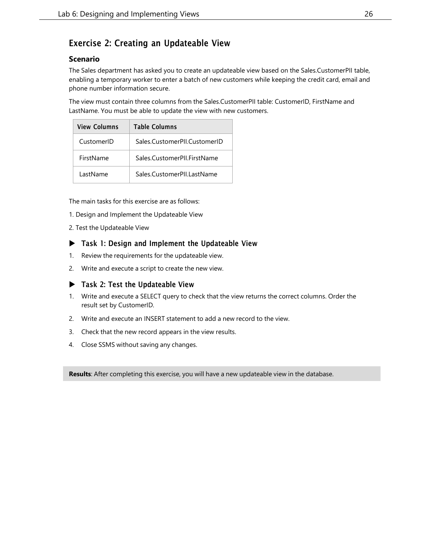## Exercise 2: Creating an Updateable View

#### **Scenario**

The Sales department has asked you to create an updateable view based on the Sales.CustomerPII table, enabling a temporary worker to enter a batch of new customers while keeping the credit card, email and phone number information secure.

The view must contain three columns from the Sales.CustomerPII table: CustomerID, FirstName and LastName. You must be able to update the view with new customers.

| <b>View Columns</b> | <b>Table Columns</b>         |
|---------------------|------------------------------|
| CustomerID          | Sales.CustomerPII.CustomerID |
| FirstName           | Sales.CustomerPII.FirstName  |
| LastName            | Sales CustomerPILI astName   |

The main tasks for this exercise are as follows:

- 1. Design and Implement the Updateable View
- 2. Test the Updateable View

#### ▶ Task 1: Design and Implement the Updateable View

- 1. Review the requirements for the updateable view.
- 2. Write and execute a script to create the new view.

#### ▶ Task 2: Test the Updateable View

- 1. Write and execute a SELECT query to check that the view returns the correct columns. Order the result set by CustomerID.
- 2. Write and execute an INSERT statement to add a new record to the view.
- 3. Check that the new record appears in the view results.
- 4. Close SSMS without saving any changes.

**Results**: After completing this exercise, you will have a new updateable view in the database.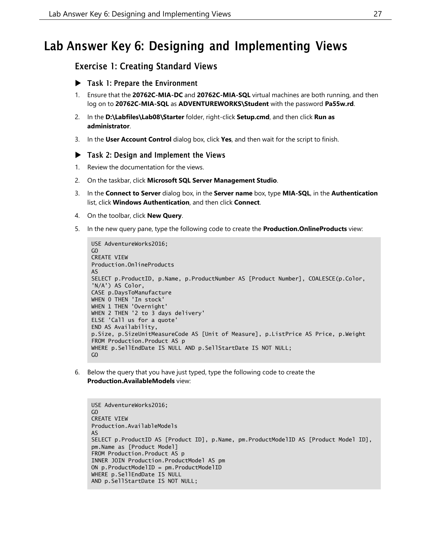## <span id="page-26-0"></span>Lab Answer Key 6: Designing and Implementing Views

### Exercise 1: Creating Standard Views

- Task 1: Prepare the Environment
- 1. Ensure that the **20762C-MIA-DC** and **20762C-MIA-SQL** virtual machines are both running, and then log on to **20762C-MIA-SQL** as **ADVENTUREWORKS\Student** with the password **Pa55w.rd**.
- 2. In the **D:\Labfiles\Lab08\Starter** folder, right-click **Setup.cmd**, and then click **Run as administrator**.
- 3. In the **User Account Control** dialog box, click **Yes**, and then wait for the script to finish.

#### $\blacktriangleright$  Task 2: Design and Implement the Views

- 1. Review the documentation for the views.
- 2. On the taskbar, click **Microsoft SQL Server Management Studio**.
- 3. In the **Connect to Server** dialog box, in the **Server name** box, type **MIA-SQL**, in the **Authentication** list, click **Windows Authentication**, and then click **Connect**.
- 4. On the toolbar, click **New Query**.
- 5. In the new query pane, type the following code to create the **Production.OnlineProducts** view:

```
USE AdventureWorks2016;
GO
CREATE VIEW
Production.OnlineProducts
AS
SELECT p.ProductID, p.Name, p.ProductNumber AS [Product Number], COALESCE(p.Color,
'N/A') AS Color,
CASE p.DaysToManufacture
WHEN 0 THEN 'In stock'
WHEN 1 THEN 'Overnight'
WHEN 2 THEN '2 to 3 days delivery'
ELSE 'Call us for a quote'
END AS Availability,
p.Size, p.SizeUnitMeasureCode AS [Unit of Measure], p.ListPrice AS Price, p.Weight
FROM Production.Product AS p
WHERE p.SellEndDate IS NULL AND p.SellStartDate IS NOT NULL;
GO
```
6. Below the query that you have just typed, type the following code to create the **Production.AvailableModels** view:

```
USE AdventureWorks2016;
GO
CREATE VIEW
Production.AvailableModels
AS
SELECT p.ProductID AS [Product ID], p.Name, pm.ProductModelID AS [Product Model ID],
pm.Name as [Product Model]
FROM Production.Product AS p
INNER JOIN Production.ProductModel AS pm
ON p.ProductModelID = pm.ProductModelID
WHERE p.SellEndDate IS NULL
AND p.SellStartDate IS NOT NULL;
```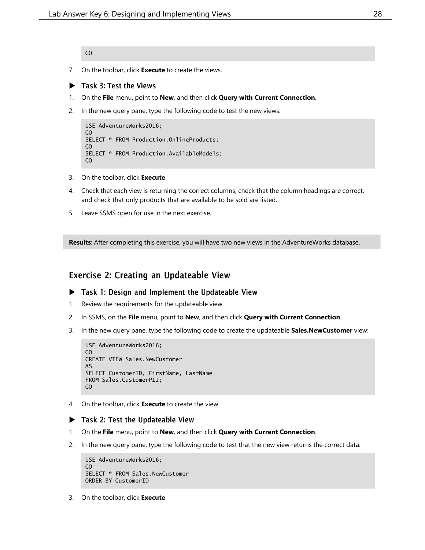GO

- 7. On the toolbar, click **Execute** to create the views.
- Task 3: Test the Views
- 1. On the **File** menu, point to **New**, and then click **Query with Current Connection**.
- 2. In the new query pane, type the following code to test the new views:

```
USE AdventureWorks2016;
GO
SELECT * FROM Production.OnlineProducts;
GO
SELECT * FROM Production.AvailableModels;
GO
```
- 3. On the toolbar, click **Execute**.
- 4. Check that each view is returning the correct columns, check that the column headings are correct, and check that only products that are available to be sold are listed.
- 5. Leave SSMS open for use in the next exercise.

**Results**: After completing this exercise, you will have two new views in the AdventureWorks database.

## Exercise 2: Creating an Updateable View

#### ▶ Task 1: Design and Implement the Updateable View

- 1. Review the requirements for the updateable view.
- 2. In SSMS, on the **File** menu, point to **New**, and then click **Query with Current Connection**.
- 3. In the new query pane, type the following code to create the updateable **Sales.NewCustomer** view:

```
USE AdventureWorks2016;
GO
CREATE VIEW Sales.NewCustomer
AS
SELECT CustomerID, FirstName, LastName
FROM Sales.CustomerPII;
GO
```
4. On the toolbar, click **Execute** to create the view.

#### Task 2: Test the Updateable View

- 1. On the **File** menu, point to **New**, and then click **Query with Current Connection**.
- 2. In the new query pane, type the following code to test that the new view returns the correct data:

```
USE AdventureWorks2016;
GO
SELECT * FROM Sales.NewCustomer
ORDER BY CustomerID
```
3. On the toolbar, click **Execute**.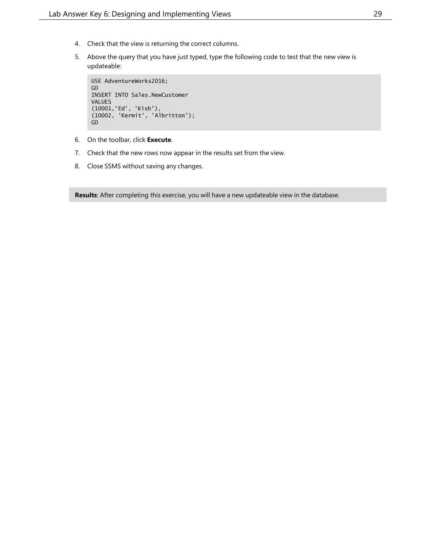- 4. Check that the view is returning the correct columns.
- 5. Above the query that you have just typed, type the following code to test that the new view is updateable:

```
USE AdventureWorks2016;
GO
INSERT INTO Sales.NewCustomer
VALUES
(10001,'Ed', 'Kish'),
(10002, 'Kermit', 'Albritton');
GO
```
- 6. On the toolbar, click **Execute**.
- 7. Check that the new rows now appear in the results set from the view.
- 8. Close SSMS without saving any changes.

**Results**: After completing this exercise, you will have a new updateable view in the database.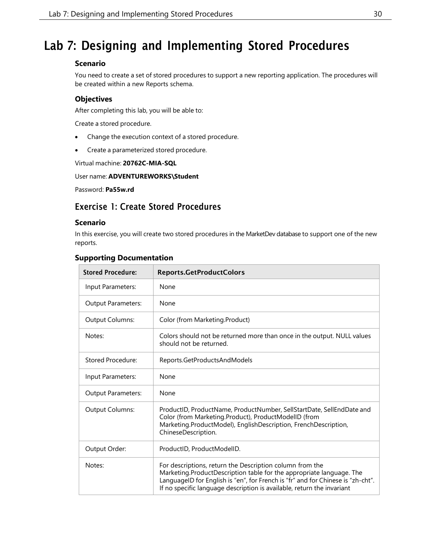## <span id="page-29-0"></span>Lab 7: Designing and Implementing Stored Procedures

#### **Scenario**

You need to create a set of stored procedures to support a new reporting application. The procedures will be created within a new Reports schema.

#### **Objectives**

After completing this lab, you will be able to:

Create a stored procedure.

- Change the execution context of a stored procedure.
- Create a parameterized stored procedure.

Virtual machine: **20762C-MIA-SQL**

#### User name: **ADVENTUREWORKS\Student**

Password: **Pa55w.rd**

## Exercise 1: Create Stored Procedures

#### **Scenario**

In this exercise, you will create two stored procedures in the MarketDev database to support one of the new reports.

#### **Supporting Documentation**

| <b>Stored Procedure:</b>  | <b>Reports.GetProductColors</b>                                                                                                                                                                                                                                                               |
|---------------------------|-----------------------------------------------------------------------------------------------------------------------------------------------------------------------------------------------------------------------------------------------------------------------------------------------|
| Input Parameters:         | None                                                                                                                                                                                                                                                                                          |
| <b>Output Parameters:</b> | None                                                                                                                                                                                                                                                                                          |
| Output Columns:           | Color (from Marketing.Product)                                                                                                                                                                                                                                                                |
| Notes:                    | Colors should not be returned more than once in the output. NULL values<br>should not be returned.                                                                                                                                                                                            |
| Stored Procedure:         | Reports.GetProductsAndModels                                                                                                                                                                                                                                                                  |
| Input Parameters:         | None                                                                                                                                                                                                                                                                                          |
| <b>Output Parameters:</b> | None                                                                                                                                                                                                                                                                                          |
| <b>Output Columns:</b>    | ProductID, ProductName, ProductNumber, SellStartDate, SellEndDate and<br>Color (from Marketing.Product), ProductModelID (from<br>Marketing.ProductModel), EnglishDescription, FrenchDescription,<br>ChineseDescription.                                                                       |
| Output Order:             | ProductID, ProductModelID.                                                                                                                                                                                                                                                                    |
| Notes:                    | For descriptions, return the Description column from the<br>Marketing.ProductDescription table for the appropriate language. The<br>LanguageID for English is "en", for French is "fr" and for Chinese is "zh-cht".<br>If no specific language description is available, return the invariant |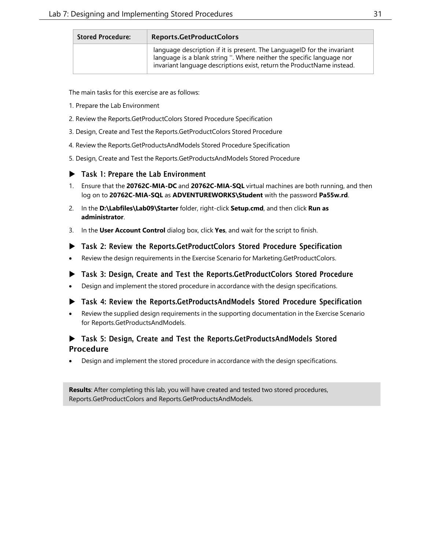| <b>Stored Procedure:</b> | Reports.GetProductColors                                                                                                                                                                                                   |
|--------------------------|----------------------------------------------------------------------------------------------------------------------------------------------------------------------------------------------------------------------------|
|                          | language description if it is present. The LanguageID for the invariant<br>language is a blank string ". Where neither the specific language nor<br>invariant language descriptions exist, return the ProductName instead. |

The main tasks for this exercise are as follows:

- 1. Prepare the Lab Environment
- 2. Review the Reports.GetProductColors Stored Procedure Specification
- 3. Design, Create and Test the Reports.GetProductColors Stored Procedure
- 4. Review the Reports.GetProductsAndModels Stored Procedure Specification
- 5. Design, Create and Test the Reports.GetProductsAndModels Stored Procedure

#### ▶ Task 1: Prepare the Lab Environment

- 1. Ensure that the **20762C-MIA-DC** and **20762C-MIA-SQL** virtual machines are both running, and then log on to **20762C-MIA-SQL** as **ADVENTUREWORKS\Student** with the password **Pa55w.rd**.
- 2. In the **D:\Labfiles\Lab09\Starter** folder, right-click **Setup.cmd**, and then click **Run as administrator**.
- 3. In the **User Account Control** dialog box, click **Yes**, and wait for the script to finish.
- Task 2: Review the Reports.GetProductColors Stored Procedure Specification
- Review the design requirements in the Exercise Scenario for Marketing.GetProductColors.
- Task 3: Design, Create and Test the Reports.GetProductColors Stored Procedure
- Design and implement the stored procedure in accordance with the design specifications.
- Task 4: Review the Reports.GetProductsAndModels Stored Procedure Specification
- Review the supplied design requirements in the supporting documentation in the Exercise Scenario for Reports.GetProductsAndModels.

#### ▶ Task 5: Design, Create and Test the Reports.GetProductsAndModels Stored Procedure

• Design and implement the stored procedure in accordance with the design specifications.

**Results**: After completing this lab, you will have created and tested two stored procedures, Reports.GetProductColors and Reports.GetProductsAndModels.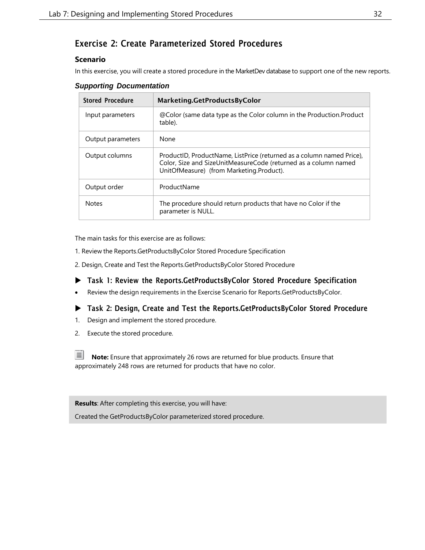## Exercise 2: Create Parameterized Stored Procedures

#### **Scenario**

In this exercise, you will create a stored procedure in the MarketDev database to support one of the new reports.

| <b>Supporting Documentation</b> |
|---------------------------------|
|---------------------------------|

| <b>Stored Procedure</b> | Marketing.GetProductsByColor                                                                                                                                                         |
|-------------------------|--------------------------------------------------------------------------------------------------------------------------------------------------------------------------------------|
| Input parameters        | @Color (same data type as the Color column in the Production. Product<br>table).                                                                                                     |
| Output parameters       | None                                                                                                                                                                                 |
| Output columns          | ProductID, ProductName, ListPrice (returned as a column named Price),<br>Color, Size and SizeUnitMeasureCode (returned as a column named<br>UnitOfMeasure) (from Marketing.Product). |
| Output order            | ProductName                                                                                                                                                                          |
| <b>Notes</b>            | The procedure should return products that have no Color if the<br>parameter is NULL.                                                                                                 |

The main tasks for this exercise are as follows:

- 1. Review the Reports.GetProductsByColor Stored Procedure Specification
- 2. Design, Create and Test the Reports.GetProductsByColor Stored Procedure
- Task 1: Review the Reports.GetProductsByColor Stored Procedure Specification
- Review the design requirements in the Exercise Scenario for Reports.GetProductsByColor.
- Task 2: Design, Create and Test the Reports.GetProductsByColor Stored Procedure
- 1. Design and implement the stored procedure.
- 2. Execute the stored procedure.

**Note:** Ensure that approximately 26 rows are returned for blue products. Ensure that approximately 248 rows are returned for products that have no color.

**Results**: After completing this exercise, you will have:

Created the GetProductsByColor parameterized stored procedure.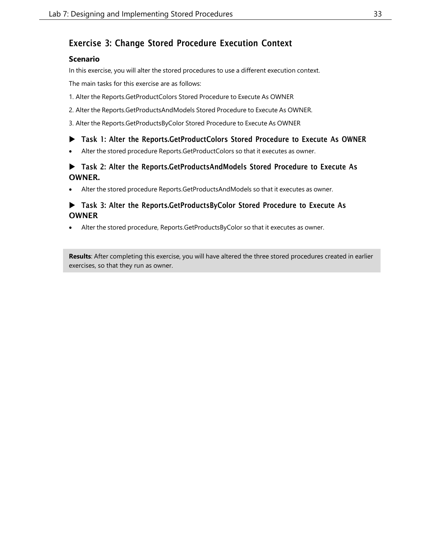## Exercise 3: Change Stored Procedure Execution Context

#### **Scenario**

In this exercise, you will alter the stored procedures to use a different execution context.

The main tasks for this exercise are as follows:

- 1. Alter the Reports.GetProductColors Stored Procedure to Execute As OWNER
- 2. Alter the Reports.GetProductsAndModels Stored Procedure to Execute As OWNER.
- 3. Alter the Reports.GetProductsByColor Stored Procedure to Execute As OWNER

#### Task 1: Alter the Reports.GetProductColors Stored Procedure to Execute As OWNER

• Alter the stored procedure Reports.GetProductColors so that it executes as owner.

### Task 2: Alter the Reports.GetProductsAndModels Stored Procedure to Execute As OWNER.

• Alter the stored procedure Reports.GetProductsAndModels so that it executes as owner.

#### Task 3: Alter the Reports.GetProductsByColor Stored Procedure to Execute As **OWNER**

Alter the stored procedure, Reports.GetProductsByColor so that it executes as owner.

**Results**: After completing this exercise, you will have altered the three stored procedures created in earlier exercises, so that they run as owner.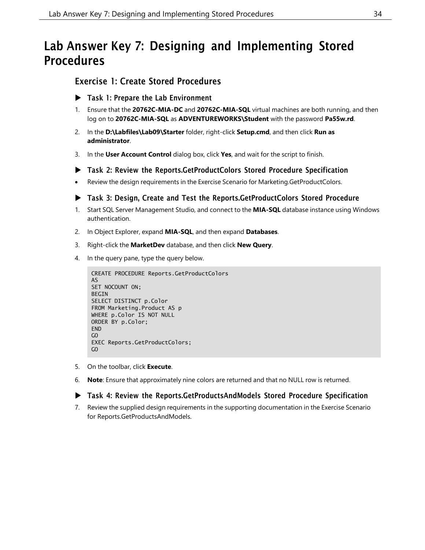## <span id="page-33-0"></span>Lab Answer Key 7: Designing and Implementing Stored Procedures

## Exercise 1: Create Stored Procedures

- ▶ Task 1: Prepare the Lab Environment
- 1. Ensure that the **20762C-MIA-DC** and **20762C-MIA-SQL** virtual machines are both running, and then log on to **20762C-MIA-SQL** as **ADVENTUREWORKS\Student** with the password **Pa55w.rd**.
- 2. In the **D:\Labfiles\Lab09\Starter** folder, right-click **Setup.cmd**, and then click **Run as administrator**.
- 3. In the **User Account Control** dialog box, click **Yes**, and wait for the script to finish.
- Task 2: Review the Reports.GetProductColors Stored Procedure Specification
- Review the design requirements in the Exercise Scenario for Marketing.GetProductColors.

#### Task 3: Design, Create and Test the Reports.GetProductColors Stored Procedure

- 1. Start SQL Server Management Studio, and connect to the **MIA-SQL** database instance using Windows authentication.
- 2. In Object Explorer, expand **MIA-SQL**, and then expand **Databases**.
- 3. Right-click the **MarketDev** database, and then click **New Query**.
- 4. In the query pane, type the query below.

```
CREATE PROCEDURE Reports.GetProductColors
AS
SET NOCOUNT ON;
BEGIN
SELECT DISTINCT p.Color
FROM Marketing.Product AS p
WHERE p.Color IS NOT NULL
ORDER BY p.Color;
FND
GO
EXEC Reports.GetProductColors;
GO
```
- 5. On the toolbar, click **Execute**.
- 6. **Note**: Ensure that approximately nine colors are returned and that no NULL row is returned.

#### Task 4: Review the Reports.GetProductsAndModels Stored Procedure Specification

7. Review the supplied design requirements in the supporting documentation in the Exercise Scenario for Reports.GetProductsAndModels.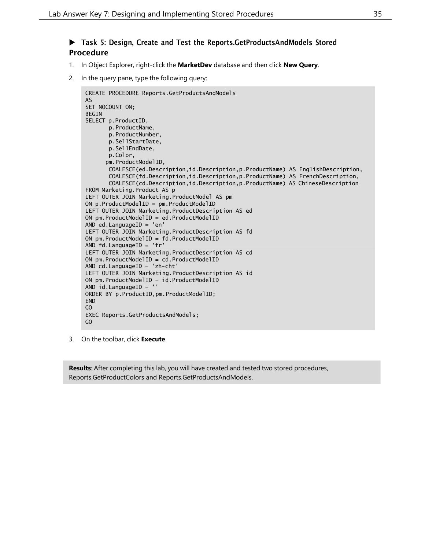### ▶ Task 5: Design, Create and Test the Reports.GetProductsAndModels Stored Procedure

- 1. In Object Explorer, right-click the **MarketDev** database and then click **New Query**.
- 2. In the query pane, type the following query:

```
CREATE PROCEDURE Reports.GetProductsAndModels
AS
SET NOCOUNT ON;
BEGIN
SELECT p.ProductID,
      p.ProductName,
      p.ProductNumber,
      p.SellStartDate,
      p.SellEndDate,
      p.Color,
      pm.ProductModelID,
      COALESCE(ed.Description,id.Description,p.ProductName) AS EnglishDescription,
       COALESCE(fd.Description,id.Description,p.ProductName) AS FrenchDescription,
       COALESCE(cd.Description,id.Description,p.ProductName) AS ChineseDescription
FROM Marketing.Product AS p
LEFT OUTER JOIN Marketing.ProductModel AS pm
ON p.ProductModelID = pm.ProductModelID
LEFT OUTER JOIN Marketing.ProductDescription AS ed
ON pm.ProductModelID = ed.ProductModelID
AND ed.LanguageID = 'en'
LEFT OUTER JOIN Marketing.ProductDescription AS fd
ON pm.ProductModelID = fd.ProductModelID
AND fd.LanguageID = 'fr'
LEFT OUTER JOIN Marketing.ProductDescription AS cd
ON pm.ProductModelID = cd.ProductModelID
AND cd.LanguageID = 'zh-cht'
LEFT OUTER JOIN Marketing.ProductDescription AS id
ON pm.ProductModelID = id.ProductModelID
AND id.LanguageID = ''
ORDER BY p.ProductID,pm.ProductModelID;
FND
GO
EXEC Reports.GetProductsAndModels;
GO
```
3. On the toolbar, click **Execute**.

**Results**: After completing this lab, you will have created and tested two stored procedures, Reports.GetProductColors and Reports.GetProductsAndModels.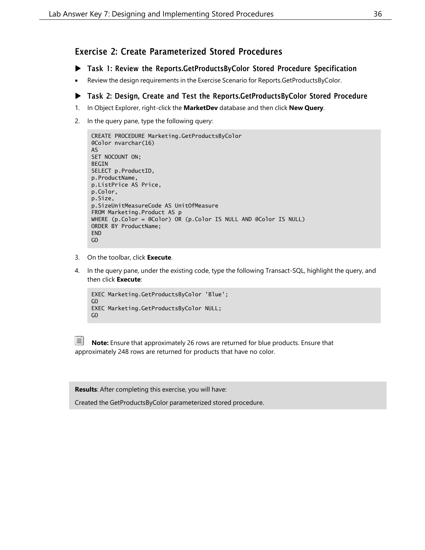### Exercise 2: Create Parameterized Stored Procedures

- Task 1: Review the Reports.GetProductsByColor Stored Procedure Specification
- Review the design requirements in the Exercise Scenario for Reports.GetProductsByColor.

#### Task 2: Design, Create and Test the Reports.GetProductsByColor Stored Procedure

- 1. In Object Explorer, right-click the **MarketDev** database and then click **New Query**.
- 2. In the query pane, type the following query:

```
CREATE PROCEDURE Marketing.GetProductsByColor
@Color nvarchar(16)
AS
SET NOCOUNT ON;
BEGIN
SELECT p.ProductID,
p.ProductName,
p.ListPrice AS Price,
p.Color,
p.Size,
p.SizeUnitMeasureCode AS UnitOfMeasure
FROM Marketing.Product AS p
WHERE (p.Color = @Color) OR (p.Color IS NULL AND @Color IS NULL)
ORDER BY ProductName;
END
GO
```
- 3. On the toolbar, click **Execute**.
- 4. In the query pane, under the existing code, type the following Transact-SQL, highlight the query, and then click **Execute**:

```
EXEC Marketing.GetProductsByColor 'Blue';
GO
EXEC Marketing.GetProductsByColor NULL;
GO
```

**Note:** Ensure that approximately 26 rows are returned for blue products. Ensure that approximately 248 rows are returned for products that have no color.

**Results**: After completing this exercise, you will have:

Created the GetProductsByColor parameterized stored procedure.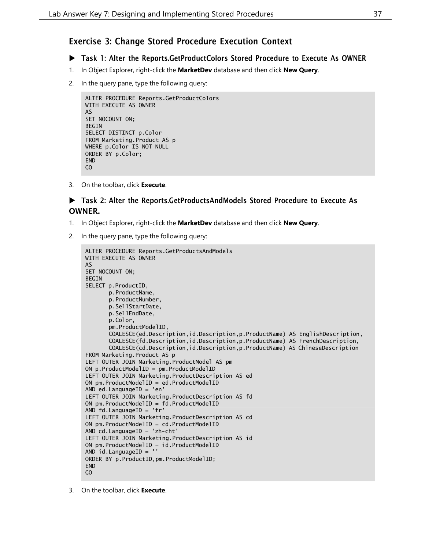### Exercise 3: Change Stored Procedure Execution Context

#### Task 1: Alter the Reports.GetProductColors Stored Procedure to Execute As OWNER

- 1. In Object Explorer, right-click the **MarketDev** database and then click **New Query**.
- 2. In the query pane, type the following query:

```
ALTER PROCEDURE Reports.GetProductColors
WITH EXECUTE AS OWNER
AS
SET NOCOUNT ON;
BEGIN
SELECT DISTINCT p.Color
FROM Marketing.Product AS p
WHERE p.Color IS NOT NULL
ORDER BY p.Color;
END
GO
```
3. On the toolbar, click **Execute**.

#### Task 2: Alter the Reports.GetProductsAndModels Stored Procedure to Execute As OWNER.

- 1. In Object Explorer, right-click the **MarketDev** database and then click **New Query**.
- 2. In the query pane, type the following query:

```
ALTER PROCEDURE Reports.GetProductsAndModels
WITH EXECUTE AS OWNER
AS
SET NOCOUNT ON;
BEGIN
SELECT p.ProductID,
       p.ProductName,
      p.ProductNumber,
      p.SellStartDate,
      p.SellEndDate,
      p.Color,
       pm.ProductModelID,
       COALESCE(ed.Description,id.Description,p.ProductName) AS EnglishDescription,
       COALESCE(fd.Description,id.Description,p.ProductName) AS FrenchDescription,
       COALESCE(cd.Description,id.Description,p.ProductName) AS ChineseDescription
FROM Marketing.Product AS p
LEFT OUTER JOIN Marketing.ProductModel AS pm
ON p.ProductModelID = pm.ProductModelID
LEFT OUTER JOIN Marketing.ProductDescription AS ed
ON pm.ProductModelID = ed.ProductModelID
AND ed.LanguageID = 'en'
LEFT OUTER JOIN Marketing.ProductDescription AS fd
ON pm.ProductModelID = fd.ProductModelID
AND fd.LanguageID = 'fr'
LEFT OUTER JOIN Marketing.ProductDescription AS cd
ON pm.ProductModelID = cd.ProductModelID
AND cd.LanguageID = 'zh-cht'
LEFT OUTER JOIN Marketing.ProductDescription AS id
ON pm.ProductModelID = id.ProductModelID
AND id.LanguageID = 'ORDER BY p.ProductID,pm.ProductModelID;
FND
GO
```
3. On the toolbar, click **Execute**.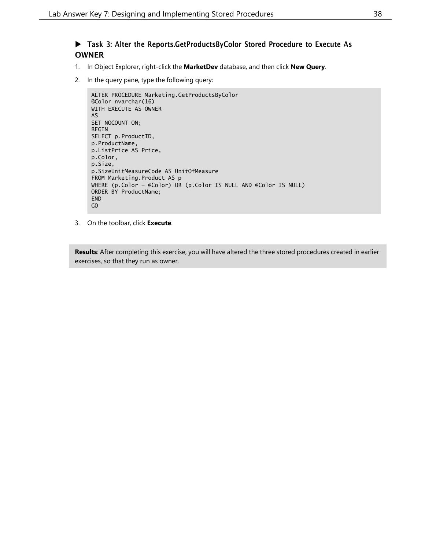#### Task 3: Alter the Reports.GetProductsByColor Stored Procedure to Execute As OWNER

- 1. In Object Explorer, right-click the **MarketDev** database, and then click **New Query**.
- 2. In the query pane, type the following query:

```
ALTER PROCEDURE Marketing.GetProductsByColor
@Color nvarchar(16)
WITH EXECUTE AS OWNER
AS
SET NOCOUNT ON;
BEGIN
SELECT p.ProductID,
p.ProductName,
p.ListPrice AS Price,
p.Color,
p.Size,
p.SizeUnitMeasureCode AS UnitOfMeasure
FROM Marketing.Product AS p
WHERE (p.Color = @Color) OR (p.Color IS NULL AND @Color IS NULL)
ORDER BY ProductName;
END
GO
```
3. On the toolbar, click **Execute**.

**Results**: After completing this exercise, you will have altered the three stored procedures created in earlier exercises, so that they run as owner.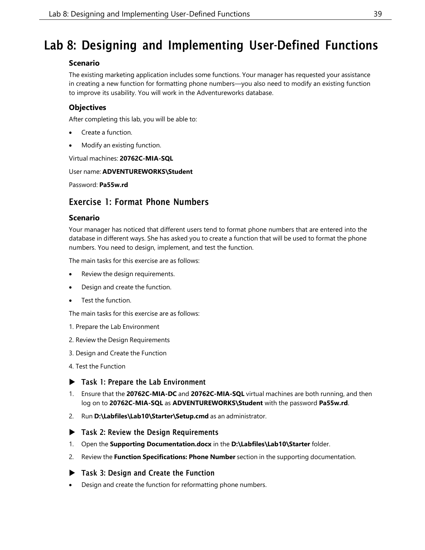## <span id="page-38-0"></span>Lab 8: Designing and Implementing User-Defined Functions

## **Scenario**

The existing marketing application includes some functions. Your manager has requested your assistance in creating a new function for formatting phone numbers—you also need to modify an existing function to improve its usability. You will work in the Adventureworks database.

## **Objectives**

After completing this lab, you will be able to:

- Create a function.
- Modify an existing function.

Virtual machines: **20762C-MIA-SQL**

#### User name: **ADVENTUREWORKS\Student**

Password: **Pa55w.rd**

## Exercise 1: Format Phone Numbers

#### **Scenario**

Your manager has noticed that different users tend to format phone numbers that are entered into the database in different ways. She has asked you to create a function that will be used to format the phone numbers. You need to design, implement, and test the function.

The main tasks for this exercise are as follows:

- Review the design requirements.
- Design and create the function.
- Test the function.

The main tasks for this exercise are as follows:

- 1. Prepare the Lab Environment
- 2. Review the Design Requirements
- 3. Design and Create the Function
- 4. Test the Function
- ▶ Task 1: Prepare the Lab Environment
- 1. Ensure that the **20762C-MIA-DC** and **20762C-MIA-SQL** virtual machines are both running, and then log on to **20762C-MIA-SQL** as **ADVENTUREWORKS\Student** with the password **Pa55w.rd**.
- 2. Run **D:\Labfiles\Lab10\Starter\Setup.cmd** as an administrator.
- ▶ Task 2: Review the Design Requirements
- 1. Open the **Supporting Documentation.docx** in the **D:\Labfiles\Lab10\Starter** folder.
- 2. Review the **Function Specifications: Phone Number** section in the supporting documentation.
- ▶ Task 3: Design and Create the Function
- Design and create the function for reformatting phone numbers.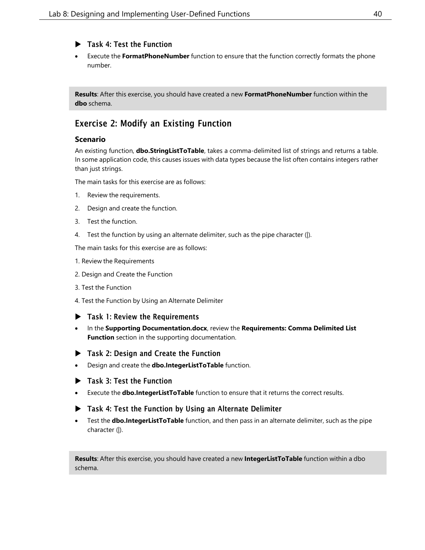#### Task 4: Test the Function

• Execute the **FormatPhoneNumber** function to ensure that the function correctly formats the phone number.

**Results**: After this exercise, you should have created a new **FormatPhoneNumber** function within the **dbo** schema.

## Exercise 2: Modify an Existing Function

#### **Scenario**

An existing function, **dbo.StringListToTable**, takes a comma-delimited list of strings and returns a table. In some application code, this causes issues with data types because the list often contains integers rather than just strings.

The main tasks for this exercise are as follows:

- 1. Review the requirements.
- 2. Design and create the function.
- 3. Test the function.
- 4. Test the function by using an alternate delimiter, such as the pipe character (|).

The main tasks for this exercise are as follows:

- 1. Review the Requirements
- 2. Design and Create the Function
- 3. Test the Function
- 4. Test the Function by Using an Alternate Delimiter

#### $\blacktriangleright$  Task 1: Review the Requirements

- In the **Supporting Documentation.docx**, review the **Requirements: Comma Delimited List Function** section in the supporting documentation.
- ▶ Task 2: Design and Create the Function
- Design and create the **dbo.IntegerListToTable** function.
- ▶ Task 3: Test the Function
- Execute the **dbo.IntegerListToTable** function to ensure that it returns the correct results.
- Task 4: Test the Function by Using an Alternate Delimiter
- Test the **dbo.IntegerListToTable** function, and then pass in an alternate delimiter, such as the pipe character (|).

**Results**: After this exercise, you should have created a new **IntegerListToTable** function within a dbo schema.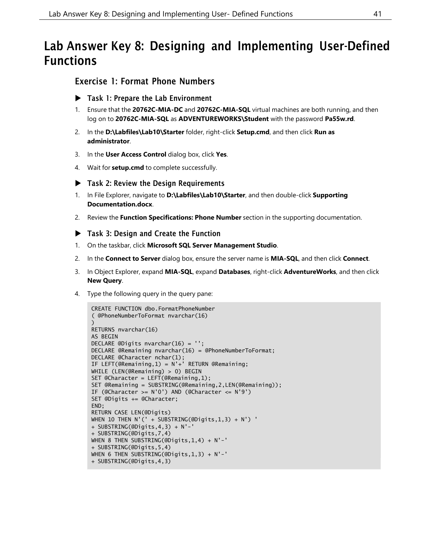## <span id="page-40-0"></span>Lab Answer Key 8: Designing and Implementing User-Defined Functions

## Exercise 1: Format Phone Numbers

- ▶ Task 1: Prepare the Lab Environment
- 1. Ensure that the **20762C-MIA-DC** and **20762C-MIA-SQL** virtual machines are both running, and then log on to **20762C-MIA-SQL** as **ADVENTUREWORKS\Student** with the password **Pa55w.rd**.
- 2. In the **D:\Labfiles\Lab10\Starter** folder, right-click **Setup.cmd**, and then click **Run as administrator**.
- 3. In the **User Access Control** dialog box, click **Yes**.
- 4. Wait for **setup.cmd** to complete successfully.
- ▶ Task 2: Review the Design Requirements
- 1. In File Explorer, navigate to **D:\Labfiles\Lab10\Starter**, and then double-click **Supporting Documentation.docx**.
- 2. Review the **Function Specifications: Phone Number** section in the supporting documentation.
- Task 3: Design and Create the Function
- 1. On the taskbar, click **Microsoft SQL Server Management Studio**.
- 2. In the **Connect to Server** dialog box, ensure the server name is **MIA-SQL**, and then click **Connect**.
- 3. In Object Explorer, expand **MIA-SQL**, expand **Databases**, right-click **AdventureWorks**, and then click **New Query**.
- 4. Type the following query in the query pane:

```
CREATE FUNCTION dbo.FormatPhoneNumber
( @PhoneNumberToFormat nvarchar(16)
)
RETURNS nvarchar(16)
AS BEGIN
DECLARE @Digits nvarchar(16) = '';
DECLARE @Remaining nvarchar(16) = @PhoneNumberToFormat;
DECLARE @Character nchar(1);
IF LEFT(@Remaining,1) = N'+' RETURN @Remaining;
WHILE (LEN(@Remaining) > 0) BEGIN
SET @Character = LEFT(@Remaining,1);
SET @Remaining = SUBSTRING(@Remaining,2,LEN(@Remaining));
IF (@Character >= N'0') AND (@Character <= N'9')
SET @Digits += @Character;
END;
RETURN CASE LEN(@Digits)
WHEN 10 THEN N'(1 + SUBSTRING(QDigits, 1, 3) + N')+ SUBSTRING(@Digits,4,3) + N'-'
+ SUBSTRING(@Digits,7,4)
WHEN 8 THEN SUBSTRING(@Digits,1,4) + N'-'
+ SUBSTRING(@Digits,5,4)
WHEN 6 THEN SUBSTRING(@Digits,1,3) + N'-'
+ SUBSTRING(@Digits,4,3)
```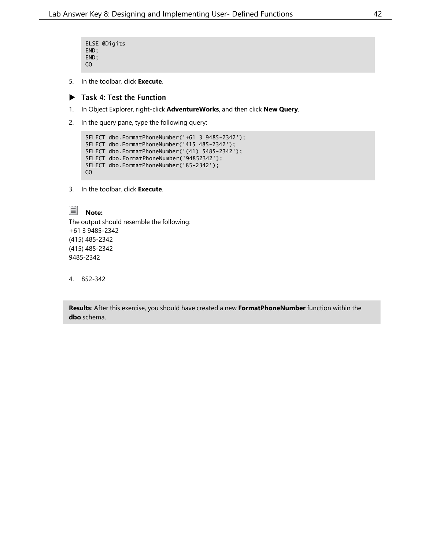```
ELSE @Digits
END;
END;
GO
```
5. In the toolbar, click **Execute**.

#### Task 4: Test the Function

- 1. In Object Explorer, right-click **AdventureWorks**, and then click **New Query**.
- 2. In the query pane, type the following query:

```
SELECT dbo.FormatPhoneNumber('+61 3 9485-2342');
SELECT dbo.FormatPhoneNumber('415 485-2342');
SELECT dbo.FormatPhoneNumber('(41) 5485-2342');
SELECT dbo.FormatPhoneNumber('94852342');
SELECT dbo.FormatPhoneNumber('85-2342');
GO
```
3. In the toolbar, click **Execute**.



The output should resemble the following: +61 3 9485-2342 (415) 485-2342 (415) 485-2342 9485-2342

4. 852-342

**Results**: After this exercise, you should have created a new **FormatPhoneNumber** function within the **dbo** schema.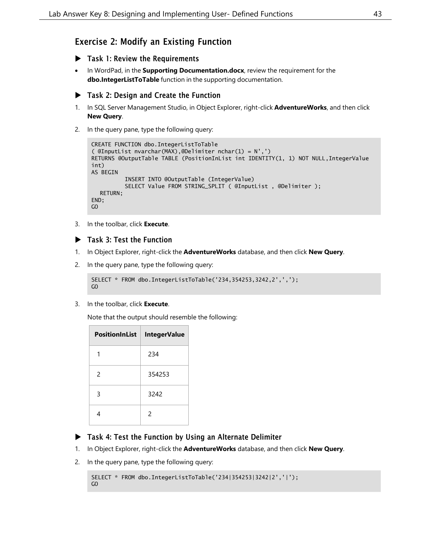## Exercise 2: Modify an Existing Function

- Task 1: Review the Requirements
- In WordPad, in the **Supporting Documentation.docx**, review the requirement for the **dbo.IntegerListToTable** function in the supporting documentation.

#### ▶ Task 2: Design and Create the Function

- 1. In SQL Server Management Studio, in Object Explorer, right-click **AdventureWorks**, and then click **New Query**.
- 2. In the query pane, type the following query:

```
CREATE FUNCTION dbo.IntegerListToTable
( @InputList nvarchar(MAX),@Delimiter nchar(1) = N',')
RETURNS @OutputTable TABLE (PositionInList int IDENTITY(1, 1) NOT NULL, IntegerValue
int)
AS BEGIN
          INSERT INTO @OutputTable (IntegerValue)
          SELECT Value FROM STRING_SPLIT ( @InputList , @Delimiter );
  RETURN;
END;
GO
```
3. In the toolbar, click **Execute**.

#### Task 3: Test the Function

- 1. In Object Explorer, right-click the **AdventureWorks** database, and then click **New Query**.
- 2. In the query pane, type the following query:

```
SELECT * FROM dbo.IntegerListToTable('234,354253,3242,2',',');
GO
```
3. In the toolbar, click **Execute**.

Note that the output should resemble the following:

| PositionInList | <b>IntegerValue</b> |
|----------------|---------------------|
| 1              | 234                 |
| $\mathcal{P}$  | 354253              |
| 3              | 3242                |
| 4              | $\mathcal{P}$       |

#### Task 4: Test the Function by Using an Alternate Delimiter

- 1. In Object Explorer, right-click the **AdventureWorks** database, and then click **New Query**.
- 2. In the query pane, type the following query:

```
SELECT * FROM dbo.IntegerListToTable('234|354253|3242|2','|');
GO
```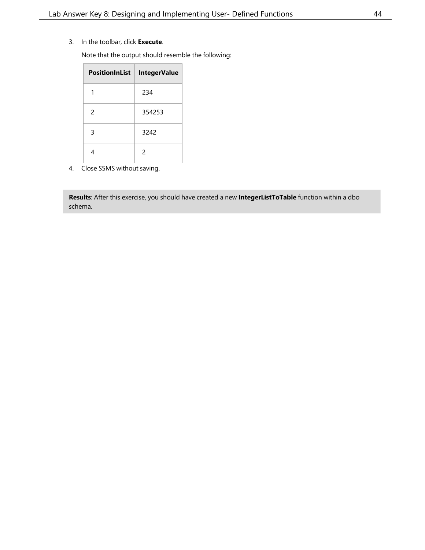3. In the toolbar, click **Execute**.

Note that the output should resemble the following:

| <b>PositionInList</b> | <b>IntegerValue</b> |
|-----------------------|---------------------|
|                       | 234                 |
| 2                     | 354253              |
| 3                     | 3242                |
|                       | $\mathfrak{p}$      |

4. Close SSMS without saving.

**Results**: After this exercise, you should have created a new **IntegerListToTable** function within a dbo schema.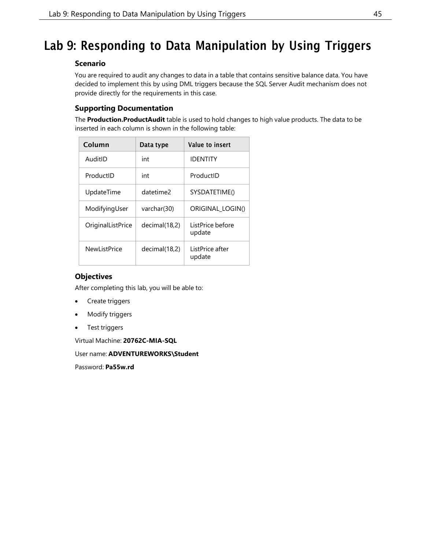## <span id="page-44-0"></span>Lab 9: Responding to Data Manipulation by Using Triggers

#### **Scenario**

You are required to audit any changes to data in a table that contains sensitive balance data. You have decided to implement this by using DML triggers because the SQL Server Audit mechanism does not provide directly for the requirements in this case.

### **Supporting Documentation**

The **Production.ProductAudit** table is used to hold changes to high value products. The data to be inserted in each column is shown in the following table:

| Column              | Data type     | Value to insert            |
|---------------------|---------------|----------------------------|
| AuditID             | int           | <b>IDENTITY</b>            |
| ProductID           | int           | ProductID                  |
| UpdateTime          | datetime?     | SYSDATETIME()              |
| ModifyingUser       | varchar(30)   | ORIGINAL LOGIN()           |
| OriginalListPrice   | decimal(18,2) | ListPrice before<br>update |
| <b>NewListPrice</b> | decimal(18,2) | ListPrice after<br>update  |

#### **Objectives**

After completing this lab, you will be able to:

- Create triggers
- Modify triggers
- Test triggers

Virtual Machine: **20762C-MIA-SQL**

User name: **ADVENTUREWORKS\Student**

Password: **Pa55w.rd**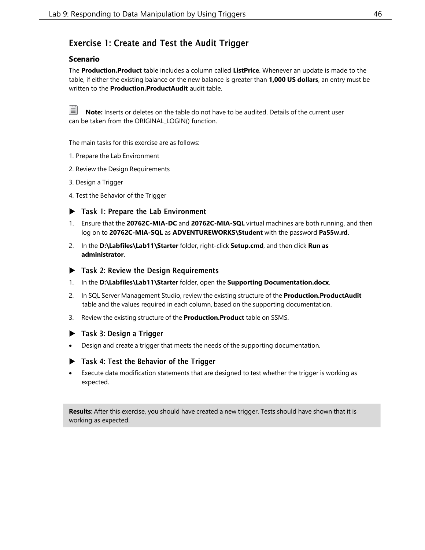## Exercise 1: Create and Test the Audit Trigger

#### **Scenario**

The **Production.Product** table includes a column called **ListPrice**. Whenever an update is made to the table, if either the existing balance or the new balance is greater than **1,000 US dollars**, an entry must be written to the **Production.ProductAudit** audit table.

**Note:** Inserts or deletes on the table do not have to be audited. Details of the current user can be taken from the ORIGINAL\_LOGIN() function.

The main tasks for this exercise are as follows:

- 1. Prepare the Lab Environment
- 2. Review the Design Requirements
- 3. Design a Trigger
- 4. Test the Behavior of the Trigger
- ▶ Task 1: Prepare the Lab Environment
- 1. Ensure that the **20762C-MIA-DC** and **20762C-MIA-SQL** virtual machines are both running, and then log on to **20762C-MIA-SQL** as **ADVENTUREWORKS\Student** with the password **Pa55w.rd**.
- 2. In the **D:\Labfiles\Lab11\Starter** folder, right-click **Setup.cmd**, and then click **Run as administrator**.
- ▶ Task 2: Review the Design Requirements
- 1. In the **D:\Labfiles\Lab11\Starter** folder, open the **Supporting Documentation.docx**.
- 2. In SQL Server Management Studio, review the existing structure of the **Production.ProductAudit** table and the values required in each column, based on the supporting documentation.
- 3. Review the existing structure of the **Production.Product** table on SSMS.

#### ▶ Task 3: Design a Trigger

• Design and create a trigger that meets the needs of the supporting documentation.

#### ▶ Task 4: Test the Behavior of the Trigger

• Execute data modification statements that are designed to test whether the trigger is working as expected.

**Results**: After this exercise, you should have created a new trigger. Tests should have shown that it is working as expected.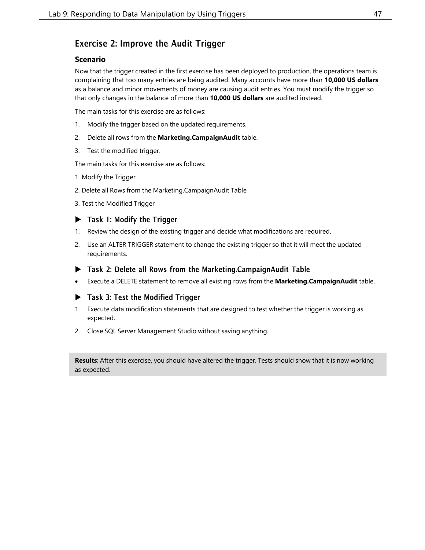## Exercise 2: Improve the Audit Trigger

#### **Scenario**

Now that the trigger created in the first exercise has been deployed to production, the operations team is complaining that too many entries are being audited. Many accounts have more than **10,000 US dollars** as a balance and minor movements of money are causing audit entries. You must modify the trigger so that only changes in the balance of more than **10,000 US dollars** are audited instead.

The main tasks for this exercise are as follows:

- 1. Modify the trigger based on the updated requirements.
- 2. Delete all rows from the **Marketing.CampaignAudit** table.
- 3. Test the modified trigger.

The main tasks for this exercise are as follows:

- 1. Modify the Trigger
- 2. Delete all Rows from the Marketing.CampaignAudit Table
- 3. Test the Modified Trigger

#### ▶ Task 1: Modify the Trigger

- 1. Review the design of the existing trigger and decide what modifications are required.
- 2. Use an ALTER TRIGGER statement to change the existing trigger so that it will meet the updated requirements.
- Task 2: Delete all Rows from the Marketing.CampaignAudit Table
- Execute a DELETE statement to remove all existing rows from the **Marketing.CampaignAudit** table.

#### Task 3: Test the Modified Trigger

- 1. Execute data modification statements that are designed to test whether the trigger is working as expected.
- 2. Close SQL Server Management Studio without saving anything.

**Results**: After this exercise, you should have altered the trigger. Tests should show that it is now working as expected.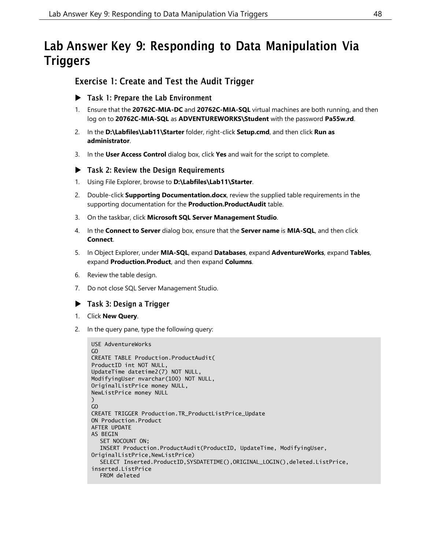## <span id="page-47-0"></span>Lab Answer Key 9: Responding to Data Manipulation Via **Triggers**

## Exercise 1: Create and Test the Audit Trigger

- Task 1: Prepare the Lab Environment
- 1. Ensure that the **20762C-MIA-DC** and **20762C-MIA-SQL** virtual machines are both running, and then log on to **20762C-MIA-SQL** as **ADVENTUREWORKS\Student** with the password **Pa55w.rd**.
- 2. In the **D:\Labfiles\Lab11\Starter** folder, right-click **Setup.cmd**, and then click **Run as administrator**.
- 3. In the **User Access Control** dialog box, click **Yes** and wait for the script to complete.

#### Task 2: Review the Design Requirements

- 1. Using File Explorer, browse to **D:\Labfiles\Lab11\Starter**.
- 2. Double-click **Supporting Documentation.docx**, review the supplied table requirements in the supporting documentation for the **Production.ProductAudit** table.
- 3. On the taskbar, click **Microsoft SQL Server Management Studio**.
- 4. In the **Connect to Server** dialog box, ensure that the **Server name** is **MIA-SQL**, and then click **Connect**.
- 5. In Object Explorer, under **MIA-SQL**, expand **Databases**, expand **AdventureWorks**, expand **Tables**, expand **Production.Product**, and then expand **Columns**.
- 6. Review the table design.
- 7. Do not close SQL Server Management Studio.

#### ▶ Task 3: Design a Trigger

- 1. Click **New Query**.
- 2. In the query pane, type the following query:

```
USE AdventureWorks
GO
CREATE TABLE Production.ProductAudit(
ProductID int NOT NULL,
UpdateTime datetime2(7) NOT NULL,
ModifyingUser nvarchar(100) NOT NULL,
OriginalListPrice money NULL,
NewListPrice money NULL
)
GO
CREATE TRIGGER Production.TR_ProductListPrice_Update
ON Production.Product
AFTER UPDATE
AS BEGIN
  SET NOCOUNT ON;
  INSERT Production.ProductAudit(ProductID, UpdateTime, ModifyingUser,
OriginalListPrice,NewListPrice)
  SELECT Inserted.ProductID,SYSDATETIME(),ORIGINAL_LOGIN(),deleted.ListPrice,
inserted.ListPrice
  FROM deleted
```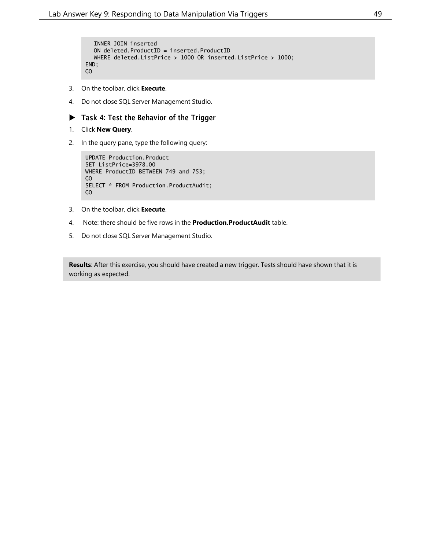```
INNER JOIN inserted
  ON deleted.ProductID = inserted.ProductID
  WHERE deleted.ListPrice > 1000 OR inserted.ListPrice > 1000;
END;
GO
```
- 3. On the toolbar, click **Execute**.
- 4. Do not close SQL Server Management Studio.

#### ▶ Task 4: Test the Behavior of the Trigger

- 1. Click **New Query**.
- 2. In the query pane, type the following query:

```
UPDATE Production.Product
SET ListPrice=3978.00
WHERE ProductID BETWEEN 749 and 753;
GO
SELECT * FROM Production.ProductAudit;
GO
```
- 3. On the toolbar, click **Execute**.
- 4. Note: there should be five rows in the **Production.ProductAudit** table.
- 5. Do not close SQL Server Management Studio.

**Results**: After this exercise, you should have created a new trigger. Tests should have shown that it is working as expected.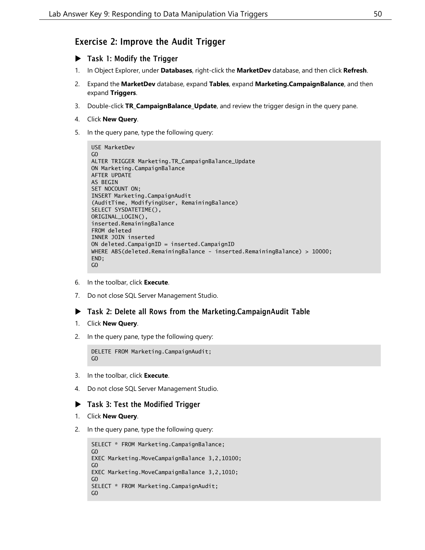## Exercise 2: Improve the Audit Trigger

- Task 1: Modify the Trigger
- 1. In Object Explorer, under **Databases**, right-click the **MarketDev** database, and then click **Refresh**.
- 2. Expand the **MarketDev** database, expand **Tables**, expand **Marketing.CampaignBalance**, and then expand **Triggers**.
- 3. Double-click **TR\_CampaignBalance\_Update**, and review the trigger design in the query pane.
- 4. Click **New Query**.
- 5. In the query pane, type the following query:

```
USE MarketDev
GO
ALTER TRIGGER Marketing.TR_CampaignBalance_Update
ON Marketing.CampaignBalance
AFTER UPDATE
AS BEGIN
SET NOCOUNT ON;
INSERT Marketing.CampaignAudit
(AuditTime, ModifyingUser, RemainingBalance)
SELECT SYSDATETIME(),
ORIGINAL_LOGIN(),
inserted.RemainingBalance
FROM deleted
INNER JOIN inserted
ON deleted.CampaignID = inserted.CampaignID
WHERE ABS(deleted.RemainingBalance - inserted.RemainingBalance) > 10000;
END;
GO
```
- 6. In the toolbar, click **Execute**.
- 7. Do not close SQL Server Management Studio.

#### Task 2: Delete all Rows from the Marketing.CampaignAudit Table

- 1. Click **New Query**.
- 2. In the query pane, type the following query:

```
DELETE FROM Marketing.CampaignAudit;
GO
```
- 3. In the toolbar, click **Execute**.
- 4. Do not close SQL Server Management Studio.

#### Task 3: Test the Modified Trigger

- 1. Click **New Query**.
- 2. In the query pane, type the following query:

```
SELECT * FROM Marketing.CampaignBalance;
GO
EXEC Marketing.MoveCampaignBalance 3,2,10100;
GO
EXEC Marketing.MoveCampaignBalance 3,2,1010;
GO
SELECT * FROM Marketing.CampaignAudit;
GO
```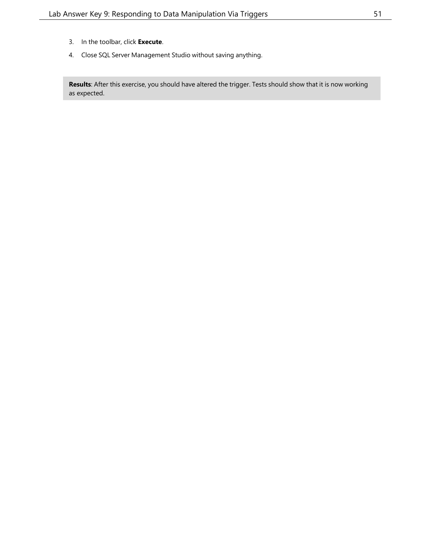- 3. In the toolbar, click **Execute**.
- 4. Close SQL Server Management Studio without saving anything.

**Results**: After this exercise, you should have altered the trigger. Tests should show that it is now working as expected.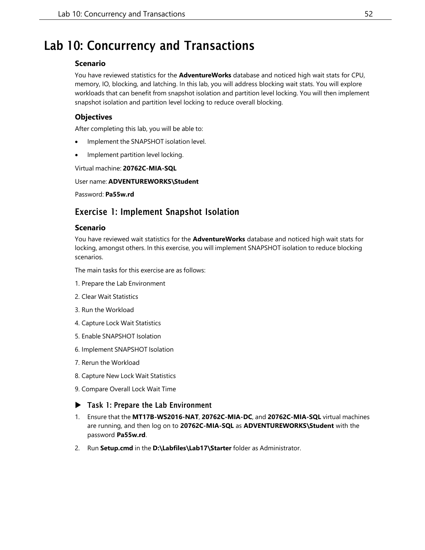## <span id="page-51-0"></span>Lab 10: Concurrency and Transactions

#### **Scenario**

You have reviewed statistics for the **AdventureWorks** database and noticed high wait stats for CPU, memory, IO, blocking, and latching. In this lab, you will address blocking wait stats. You will explore workloads that can benefit from snapshot isolation and partition level locking. You will then implement snapshot isolation and partition level locking to reduce overall blocking.

#### **Objectives**

After completing this lab, you will be able to:

- Implement the SNAPSHOT isolation level.
- Implement partition level locking.

Virtual machine: **20762C-MIA-SQL**

#### User name: **ADVENTUREWORKS\Student**

Password: **Pa55w.rd**

### Exercise 1: Implement Snapshot Isolation

#### **Scenario**

You have reviewed wait statistics for the **AdventureWorks** database and noticed high wait stats for locking, amongst others. In this exercise, you will implement SNAPSHOT isolation to reduce blocking scenarios.

The main tasks for this exercise are as follows:

- 1. Prepare the Lab Environment
- 2. Clear Wait Statistics
- 3. Run the Workload
- 4. Capture Lock Wait Statistics
- 5. Enable SNAPSHOT Isolation
- 6. Implement SNAPSHOT Isolation
- 7. Rerun the Workload
- 8. Capture New Lock Wait Statistics
- 9. Compare Overall Lock Wait Time

#### ▶ Task 1: Prepare the Lab Environment

- 1. Ensure that the **MT17B-WS2016-NAT**, **20762C-MIA-DC**, and **20762C-MIA-SQL** virtual machines are running, and then log on to **20762C-MIA-SQL** as **ADVENTUREWORKS\Student** with the password **Pa55w.rd**.
- 2. Run **Setup.cmd** in the **D:\Labfiles\Lab17\Starter** folder as Administrator.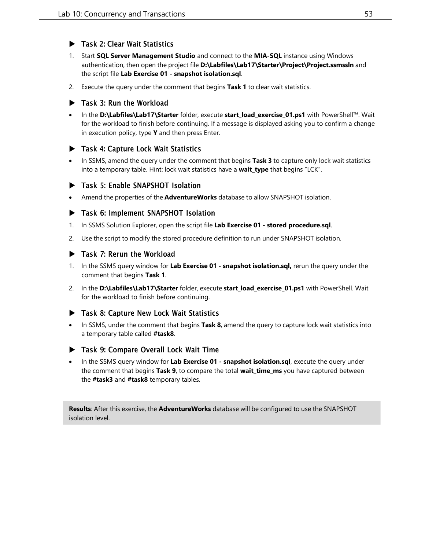#### $\blacktriangleright$  Task 2: Clear Wait Statistics

- 1. Start **SQL Server Management Studio** and connect to the **MIA-SQL** instance using Windows authentication, then open the project file **D:\Labfiles\Lab17\Starter\Project\Project.ssmssln** and the script file **Lab Exercise 01 - snapshot isolation.sql**.
- 2. Execute the query under the comment that begins **Task 1** to clear wait statistics.

#### Task 3: Run the Workload

• In the **D:\Labfiles\Lab17\Starter** folder, execute **start\_load\_exercise\_01.ps1** with PowerShell™. Wait for the workload to finish before continuing. If a message is displayed asking you to confirm a change in execution policy, type **Y** and then press Enter.

#### Task 4: Capture Lock Wait Statistics

• In SSMS, amend the query under the comment that begins **Task 3** to capture only lock wait statistics into a temporary table. Hint: lock wait statistics have a **wait\_type** that begins "LCK".

#### **Task 5: Enable SNAPSHOT Isolation**

• Amend the properties of the **AdventureWorks** database to allow SNAPSHOT isolation.

#### Task 6: Implement SNAPSHOT Isolation

- 1. In SSMS Solution Explorer, open the script file **Lab Exercise 01 - stored procedure.sql**.
- 2. Use the script to modify the stored procedure definition to run under SNAPSHOT isolation.

#### Task 7: Rerun the Workload

- 1. In the SSMS query window for **Lab Exercise 01 - snapshot isolation.sql,** rerun the query under the comment that begins **Task 1**.
- 2. In the **D:\Labfiles\Lab17\Starter** folder, execute **start\_load\_exercise\_01.ps1** with PowerShell. Wait for the workload to finish before continuing.

#### Task 8: Capture New Lock Wait Statistics

• In SSMS, under the comment that begins **Task 8**, amend the query to capture lock wait statistics into a temporary table called **#task8**.

#### Task 9: Compare Overall Lock Wait Time

• In the SSMS query window for **Lab Exercise 01 - snapshot isolation.sql**, execute the query under the comment that begins **Task 9**, to compare the total **wait\_time\_ms** you have captured between the **#task3** and **#task8** temporary tables.

**Results**: After this exercise, the **AdventureWorks** database will be configured to use the SNAPSHOT isolation level.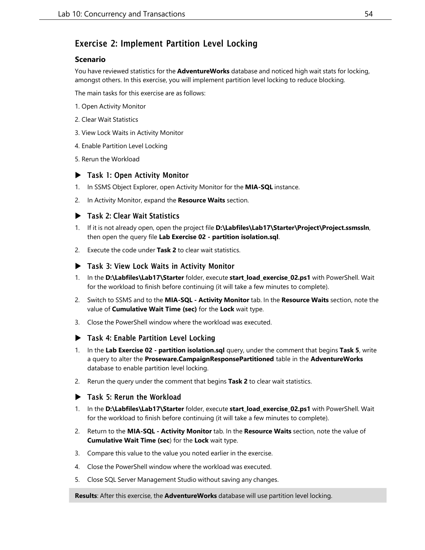## Exercise 2: Implement Partition Level Locking

#### **Scenario**

You have reviewed statistics for the **AdventureWorks** database and noticed high wait stats for locking, amongst others. In this exercise, you will implement partition level locking to reduce blocking.

The main tasks for this exercise are as follows:

- 1. Open Activity Monitor
- 2. Clear Wait Statistics
- 3. View Lock Waits in Activity Monitor
- 4. Enable Partition Level Locking
- 5. Rerun the Workload

#### ▶ Task 1: Open Activity Monitor

- 1. In SSMS Object Explorer, open Activity Monitor for the **MIA-SQL** instance.
- 2. In Activity Monitor, expand the **Resource Waits** section.

#### ▶ Task 2: Clear Wait Statistics

- 1. If it is not already open, open the project file **D:\Labfiles\Lab17\Starter\Project\Project.ssmssln**, then open the query file **Lab Exercise 02 - partition isolation.sql**.
- 2. Execute the code under **Task 2** to clear wait statistics.

#### ▶ Task 3: View Lock Waits in Activity Monitor

- 1. In the **D:\Labfiles\Lab17\Starter** folder, execute **start\_load\_exercise\_02.ps1** with PowerShell. Wait for the workload to finish before continuing (it will take a few minutes to complete).
- 2. Switch to SSMS and to the **MIA-SQL - Activity Monitor** tab. In the **Resource Waits** section, note the value of **Cumulative Wait Time (sec)** for the **Lock** wait type.
- 3. Close the PowerShell window where the workload was executed.

#### ▶ Task 4: Enable Partition Level Locking

- 1. In the **Lab Exercise 02 - partition isolation.sql** query, under the comment that begins **Task 5**, write a query to alter the **Proseware.CampaignResponsePartitioned** table in the **AdventureWorks** database to enable partition level locking.
- 2. Rerun the query under the comment that begins **Task 2** to clear wait statistics.

#### Task 5: Rerun the Workload

- 1. In the **D:\Labfiles\Lab17\Starter** folder, execute **start\_load\_exercise\_02.ps1** with PowerShell. Wait for the workload to finish before continuing (it will take a few minutes to complete).
- 2. Return to the **MIA-SQL - Activity Monitor** tab. In the **Resource Waits** section, note the value of **Cumulative Wait Time (sec**) for the **Lock** wait type.
- 3. Compare this value to the value you noted earlier in the exercise.
- 4. Close the PowerShell window where the workload was executed.
- 5. Close SQL Server Management Studio without saving any changes.

**Results**: After this exercise, the **AdventureWorks** database will use partition level locking.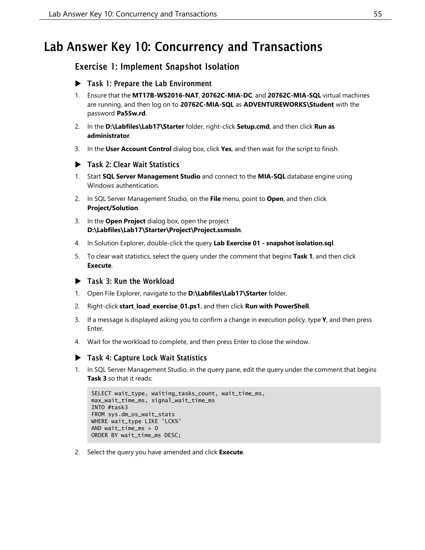## <span id="page-54-0"></span>Lab Answer Key 10: Concurrency and Transactions

## Exercise 1: Implement Snapshot Isolation

- Task 1: Prepare the Lab Environment
- 1. Ensure that the **MT17B-WS2016-NAT**, **20762C-MIA-DC**, and **20762C-MIA-SQL** virtual machines are running, and then log on to **20762C-MIA-SQL** as **ADVENTUREWORKS\Student** with the password **Pa55w.rd**.
- 2. In the **D:\Labfiles\Lab17\Starter** folder, right-click **Setup.cmd**, and then click **Run as administrator**.
- 3. In the **User Account Control** dialog box, click **Yes**, and then wait for the script to finish.
- Task 2: Clear Wait Statistics
- 1. Start **SQL Server Management Studio** and connect to the **MIA-SQL** database engine using Windows authentication.
- 2. In SQL Server Management Studio, on the **File** menu, point to **Open**, and then click **Project/Solution**.
- 3. In the **Open Project** dialog box, open the project **D:\Labfiles\Lab17\Starter\Project\Project.ssmssln**.
- 4. In Solution Explorer, double-click the query **Lab Exercise 01 - snapshot isolation.sql**.
- 5. To clear wait statistics, select the query under the comment that begins **Task 1**, and then click **Execute**.

#### ▶ Task 3: Run the Workload

- 1. Open File Explorer, navigate to the **D:\Labfiles\Lab17\Starter** folder.
- 2. Right-click **start\_load\_exercise\_01.ps1**, and then click **Run with PowerShell**.
- 3. If a message is displayed asking you to confirm a change in execution policy, type **Y**, and then press Enter.
- 4. Wait for the workload to complete, and then press Enter to close the window.

### ▶ Task 4: Capture Lock Wait Statistics

1. In SQL Server Management Studio, in the query pane, edit the query under the comment that begins **Task 3** so that it reads:

```
SELECT wait_type, waiting_tasks_count, wait_time_ms,
max_wait_time_ms, signal_wait_time_ms
INTO #task3
FROM sys.dm_os_wait_stats
WHERE wait_type LIKE 'LCK%'
AND wait_time_ms > 0ORDER BY wait_time_ms DESC;
```
2. Select the query you have amended and click **Execute**.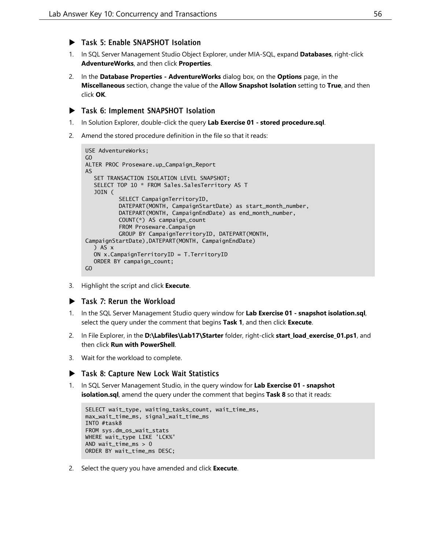- ▶ Task 5: Enable SNAPSHOT Isolation
- 1. In SQL Server Management Studio Object Explorer, under MIA-SQL, expand **Databases**, right-click **AdventureWorks**, and then click **Properties**.
- 2. In the **Database Properties - AdventureWorks** dialog box, on the **Options** page, in the **Miscellaneous** section, change the value of the **Allow Snapshot Isolation** setting to **True**, and then click **OK**.

### Task 6: Implement SNAPSHOT Isolation

- 1. In Solution Explorer, double-click the query **Lab Exercise 01 - stored procedure.sql**.
- 2. Amend the stored procedure definition in the file so that it reads:

```
USE AdventureWorks;
GO
ALTER PROC Proseware.up_Campaign_Report
AS
  SET TRANSACTION ISOLATION LEVEL SNAPSHOT;
  SELECT TOP 10 * FROM Sales.SalesTerritory AS T
  JOIN (
          SELECT CampaignTerritoryID,
          DATEPART(MONTH, CampaignStartDate) as start_month_number,
          DATEPART(MONTH, CampaignEndDate) as end_month_number,
          COUNT(*) AS campaign_count
          FROM Proseware.Campaign
          GROUP BY CampaignTerritoryID, DATEPART(MONTH,
CampaignStartDate),DATEPART(MONTH, CampaignEndDate)
  ) AS x
  ON x.CampaignTerritoryID = T.TerritoryID
  ORDER BY campaign_count;
GO
```
3. Highlight the script and click **Execute**.

#### Task 7: Rerun the Workload

- 1. In the SQL Server Management Studio query window for **Lab Exercise 01 - snapshot isolation.sql**, select the query under the comment that begins **Task 1**, and then click **Execute**.
- 2. In File Explorer, in the **D:\Labfiles\Lab17\Starter** folder, right-click **start\_load\_exercise\_01.ps1**, and then click **Run with PowerShell**.
- 3. Wait for the workload to complete.

#### ▶ Task 8: Capture New Lock Wait Statistics

1. In SQL Server Management Studio, in the query window for **Lab Exercise 01 - snapshot isolation.sql**, amend the query under the comment that begins **Task 8** so that it reads:

```
SELECT wait_type, waiting_tasks_count, wait_time_ms,
max_wait_time_ms, signal_wait_time_ms
INTO #task8
FROM sys.dm_os_wait_stats
WHERE wait_type LIKE 'LCK%'
AND wait_time_ms > 0ORDER BY wait_time_ms DESC;
```
2. Select the query you have amended and click **Execute**.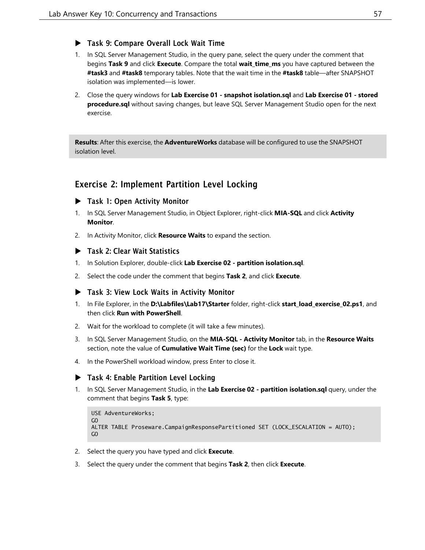### ▶ Task 9: Compare Overall Lock Wait Time

- 1. In SQL Server Management Studio, in the query pane, select the query under the comment that begins **Task 9** and click **Execute**. Compare the total **wait\_time\_ms** you have captured between the **#task3** and **#task8** temporary tables. Note that the wait time in the **#task8** table—after SNAPSHOT isolation was implemented—is lower.
- 2. Close the query windows for **Lab Exercise 01 - snapshot isolation.sql** and **Lab Exercise 01 - stored procedure.sql** without saving changes, but leave SQL Server Management Studio open for the next exercise.

**Results**: After this exercise, the **AdventureWorks** database will be configured to use the SNAPSHOT isolation level.

## Exercise 2: Implement Partition Level Locking

#### ▶ Task 1: Open Activity Monitor

- 1. In SQL Server Management Studio, in Object Explorer, right-click **MIA-SQL** and click **Activity Monitor**.
- 2. In Activity Monitor, click **Resource Waits** to expand the section.

#### ▶ Task 2: Clear Wait Statistics

- 1. In Solution Explorer, double-click **Lab Exercise 02 - partition isolation.sql**.
- 2. Select the code under the comment that begins **Task 2**, and click **Execute**.

#### ▶ Task 3: View Lock Waits in Activity Monitor

- 1. In File Explorer, in the **D:\Labfiles\Lab17\Starter** folder, right-click **start\_load\_exercise\_02.ps1**, and then click **Run with PowerShell**.
- 2. Wait for the workload to complete (it will take a few minutes).
- 3. In SQL Server Management Studio, on the **MIA-SQL - Activity Monitor** tab, in the **Resource Waits** section, note the value of **Cumulative Wait Time (sec)** for the **Lock** wait type.
- 4. In the PowerShell workload window, press Enter to close it.

#### ▶ Task 4: Enable Partition Level Locking

1. In SQL Server Management Studio, in the **Lab Exercise 02 - partition isolation.sql** query, under the comment that begins **Task 5**, type:

```
USE AdventureWorks;
GO
ALTER TABLE Proseware.CampaignResponsePartitioned SET (LOCK_ESCALATION = AUTO);
GO
```
- 2. Select the query you have typed and click **Execute**.
- 3. Select the query under the comment that begins **Task 2**, then click **Execute**.